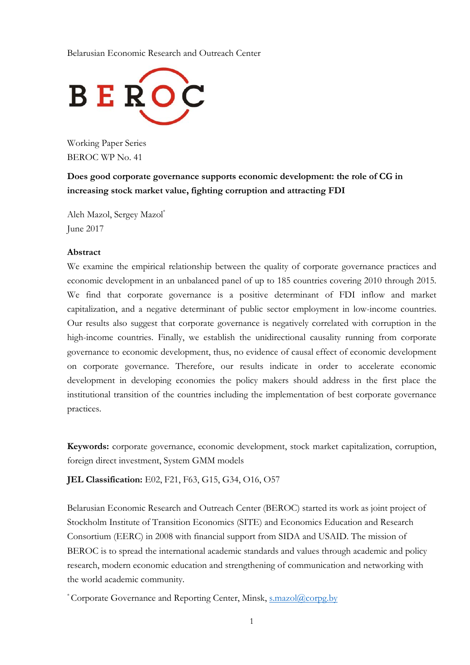Belarusian Economic Research and Outreach Center



Working Paper Series BEROC WP No. 41

**Does good corporate governance supports economic development: the role of CG in increasing stock market value, fighting corruption and attracting FDI**

Aleh Mazol, Sergey Mazol\* June 2017

## **Abstract**

We examine the empirical relationship between the quality of corporate governance practices and economic development in an unbalanced panel of up to 185 countries covering 2010 through 2015. We find that corporate governance is a positive determinant of FDI inflow and market capitalization, and a negative determinant of public sector employment in low-income countries. Our results also suggest that corporate governance is negatively correlated with corruption in the high-income countries. Finally, we establish the unidirectional causality running from corporate governance to economic development, thus, no evidence of causal effect of economic development on corporate governance. Therefore, our results indicate in order to accelerate economic development in developing economies the policy makers should address in the first place the institutional transition of the countries including the implementation of best corporate governance practices.

**Keywords:** corporate governance, economic development, stock market capitalization, corruption, foreign direct investment, System GMM models

**JEL Classification:** E02, F21, F63, G15, G34, O16, O57

Belarusian Economic Research and Outreach Center (BEROC) started its work as joint project of Stockholm Institute of Transition Economics (SITE) and Economics Education and Research Consortium (EERC) in 2008 with financial support from SIDA and USAID. The mission of BEROC is to spread the international academic standards and values through academic and policy research, modern economic education and strengthening of communication and networking with the world academic community.

\*Corporate Governance and Reporting Center, Minsk, [s.mazol@corpg.by](mailto:s.mazol@corpg.by)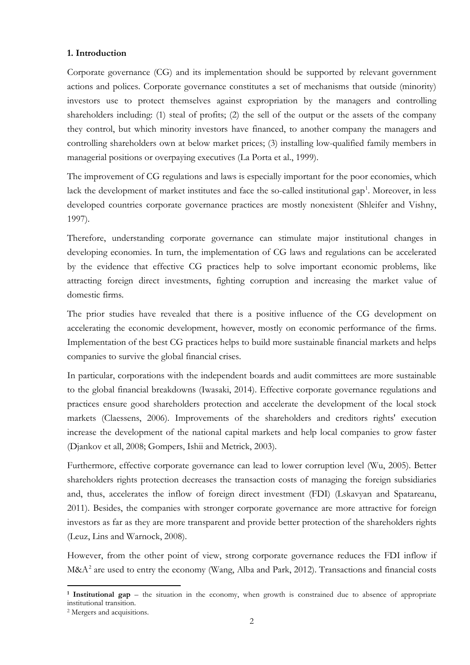## **1. Introduction**

Corporate governance (CG) and its implementation should be supported by relevant government actions and polices. Corporate governance constitutes a set of mechanisms that outside (minority) investors use to protect themselves against expropriation by the managers and controlling shareholders including: (1) steal of profits; (2) the sell of the output or the assets of the company they control, but which minority investors have financed, to another company the managers and controlling shareholders own at below market prices; (3) installing low-qualified family members in managerial positions or overpaying executives (La Porta et al., 1999).

The improvement of CG regulations and laws is especially important for the poor economies, which lack the development of market institutes and face the so-called institutional gap<sup>[1](#page-1-0)</sup>. Moreover, in less developed countries corporate governance practices are mostly nonexistent (Shleifer and Vishny, 1997).

Therefore, understanding corporate governance can stimulate major institutional changes in developing economies. In turn, the implementation of CG laws and regulations can be accelerated by the evidence that effective CG practices help to solve important economic problems, like attracting foreign direct investments, fighting corruption and increasing the market value of domestic firms.

The prior studies have revealed that there is a positive influence of the CG development on accelerating the economic development, however, mostly on economic performance of the firms. Implementation of the best CG practices helps to build more sustainable financial markets and helps companies to survive the global financial crises.

In particular, corporations with the independent boards and audit committees are more sustainable to the global financial breakdowns (Iwasaki, 2014). Effective corporate governance regulations and practices ensure good shareholders protection and accelerate the development of the local stock markets (Claessens, 2006). Improvements of the shareholders and creditors rights' execution increase the development of the national capital markets and help local companies to grow faster (Djankov et all, 2008; Gompers, Ishii and Metrick, 2003).

Furthermore, effective corporate governance can lead to lower corruption level (Wu, 2005). Better shareholders rights protection decreases the transaction costs of managing the foreign subsidiaries and, thus, accelerates the inflow of foreign direct investment (FDI) (Lskavyan and Spatareanu, 2011). Besides, the companies with stronger corporate governance are more attractive for foreign investors as far as they are more transparent and provide better protection of the shareholders rights (Leuz, Lins and Warnock, 2008).

However, from the other point of view, strong corporate governance reduces the FDI inflow if  $M\&A^2$  $M\&A^2$  are used to entry the economy (Wang, Alba and Park, 2012). Transactions and financial costs

 $\overline{a}$ 

<span id="page-1-0"></span>**<sup>1</sup> Institutional gap** – the situation in the economy, when growth is constrained due to absence of appropriate institutional transition.

<span id="page-1-1"></span><sup>2</sup> Mergers and acquisitions.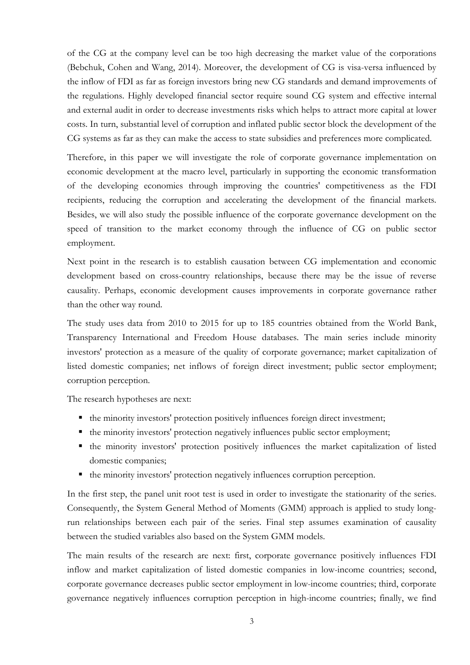of the CG at the company level can be too high decreasing the market value of the corporations (Bebchuk, Cohen and Wang, 2014). Moreover, the development of CG is visa-versa influenced by the inflow of FDI as far as foreign investors bring new CG standards and demand improvements of the regulations. Highly developed financial sector require sound CG system and effective internal and external audit in order to decrease investments risks which helps to attract more capital at lower costs. In turn, substantial level of corruption and inflated public sector block the development of the CG systems as far as they can make the access to state subsidies and preferences more complicated.

Therefore, in this paper we will investigate the role of corporate governance implementation on economic development at the macro level, particularly in supporting the economic transformation of the developing economies through improving the countries' competitiveness as the FDI recipients, reducing the corruption and accelerating the development of the financial markets. Besides, we will also study the possible influence of the corporate governance development on the speed of transition to the market economy through the influence of CG on public sector employment.

Next point in the research is to establish causation between CG implementation and economic development based on cross-country relationships, because there may be the issue of reverse causality. Perhaps, economic development causes improvements in corporate governance rather than the other way round.

The study uses data from 2010 to 2015 for up to 185 countries obtained from the World Bank, Transparency International and Freedom House databases. The main series include minority investors' protection as a measure of the quality of corporate governance; market capitalization of listed domestic companies; net inflows of foreign direct investment; public sector employment; corruption perception.

The research hypotheses are next:

- the minority investors' protection positively influences foreign direct investment;
- the minority investors' protection negatively influences public sector employment;
- the minority investors' protection positively influences the market capitalization of listed domestic companies;
- the minority investors' protection negatively influences corruption perception.

In the first step, the panel unit root test is used in order to investigate the stationarity of the series. Consequently, the System General Method of Moments (GMM) approach is applied to study longrun relationships between each pair of the series. Final step assumes examination of causality between the studied variables also based on the System GMM models.

The main results of the research are next: first, corporate governance positively influences FDI inflow and market capitalization of listed domestic companies in low-income countries; second, corporate governance decreases public sector employment in low-income countries; third, corporate governance negatively influences corruption perception in high-income countries; finally, we find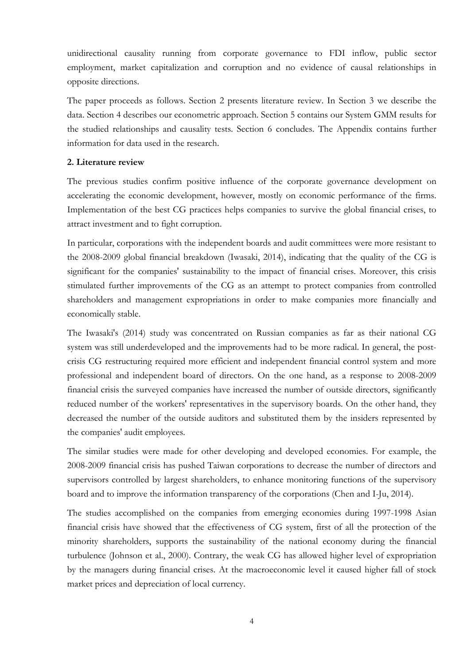unidirectional causality running from corporate governance to FDI inflow, public sector employment, market capitalization and corruption and no evidence of causal relationships in opposite directions.

The paper proceeds as follows. Section 2 presents literature review. In Section 3 we describe the data. Section 4 describes our econometric approach. Section 5 contains our System GMM results for the studied relationships and causality tests. Section 6 concludes. The Appendix contains further information for data used in the research.

## **2. Literature review**

The previous studies confirm positive influence of the corporate governance development on accelerating the economic development, however, mostly on economic performance of the firms. Implementation of the best CG practices helps companies to survive the global financial crises, to attract investment and to fight corruption.

In particular, corporations with the independent boards and audit committees were more resistant to the 2008-2009 global financial breakdown (Iwasaki, 2014), indicating that the quality of the CG is significant for the companies' sustainability to the impact of financial crises. Moreover, this crisis stimulated further improvements of the CG as an attempt to protect companies from controlled shareholders and management expropriations in order to make companies more financially and economically stable.

The Iwasaki's (2014) study was concentrated on Russian companies as far as their national CG system was still underdeveloped and the improvements had to be more radical. In general, the postcrisis CG restructuring required more efficient and independent financial control system and more professional and independent board of directors. On the one hand, as a response to 2008-2009 financial crisis the surveyed companies have increased the number of outside directors, significantly reduced number of the workers' representatives in the supervisory boards. On the other hand, they decreased the number of the outside auditors and substituted them by the insiders represented by the companies' audit employees.

The similar studies were made for other developing and developed economies. For example, the 2008-2009 financial crisis has pushed Taiwan corporations to decrease the number of directors and supervisors controlled by largest shareholders, to enhance monitoring functions of the supervisory board and to improve the information transparency of the corporations (Chen and I-Ju, 2014).

The studies accomplished on the companies from emerging economies during 1997-1998 Asian financial crisis have showed that the effectiveness of CG system, first of all the protection of the minority shareholders, supports the sustainability of the national economy during the financial turbulence (Johnson et al., 2000). Contrary, the weak CG has allowed higher level of expropriation by the managers during financial crises. At the macroeconomic level it caused higher fall of stock market prices and depreciation of local currency.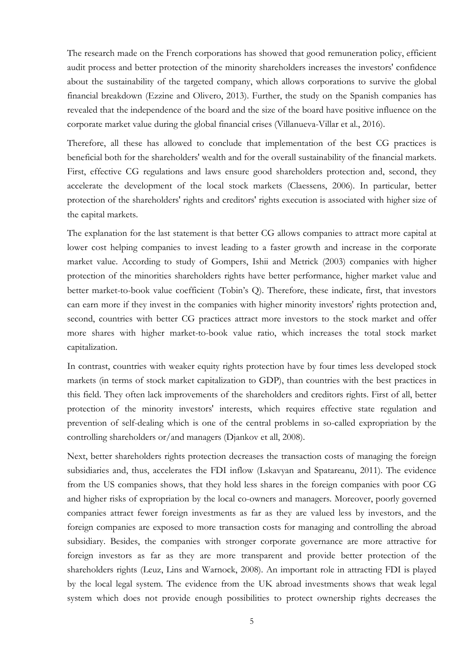The research made on the French corporations has showed that good remuneration policy, efficient audit process and better protection of the minority shareholders increases the investors' confidence about the sustainability of the targeted company, which allows corporations to survive the global financial breakdown (Ezzine and Olivero, 2013). Further, the study on the Spanish companies has revealed that the independence of the board and the size of the board have positive influence on the corporate market value during the global financial crises (Villanueva-Villar et al., 2016).

Therefore, all these has allowed to conclude that implementation of the best CG practices is beneficial both for the shareholders' wealth and for the overall sustainability of the financial markets. First, effective CG regulations and laws ensure good shareholders protection and, second, they accelerate the development of the local stock markets (Claessens, 2006). In particular, better protection of the shareholders' rights and creditors' rights execution is associated with higher size of the capital markets.

The explanation for the last statement is that better CG allows companies to attract more capital at lower cost helping companies to invest leading to a faster growth and increase in the corporate market value. According to study of Gompers, Ishii and Metrick (2003) companies with higher protection of the minorities shareholders rights have better performance, higher market value and better market-to-book value coefficient (Tobin's Q). Therefore, these indicate, first, that investors can earn more if they invest in the companies with higher minority investors' rights protection and, second, countries with better CG practices attract more investors to the stock market and offer more shares with higher market-to-book value ratio, which increases the total stock market capitalization.

In contrast, countries with weaker equity rights protection have by four times less developed stock markets (in terms of stock market capitalization to GDP), than countries with the best practices in this field. They often lack improvements of the shareholders and creditors rights. First of all, better protection of the minority investors' interests, which requires effective state regulation and prevention of self-dealing which is one of the central problems in so-called expropriation by the controlling shareholders or/and managers (Djankov et all, 2008).

Next, better shareholders rights protection decreases the transaction costs of managing the foreign subsidiaries and, thus, accelerates the FDI inflow (Lskavyan and Spatareanu, 2011). The evidence from the US companies shows, that they hold less shares in the foreign companies with poor CG and higher risks of expropriation by the local co-owners and managers. Moreover, poorly governed companies attract fewer foreign investments as far as they are valued less by investors, and the foreign companies are exposed to more transaction costs for managing and controlling the abroad subsidiary. Besides, the companies with stronger corporate governance are more attractive for foreign investors as far as they are more transparent and provide better protection of the shareholders rights (Leuz, Lins and Warnock, 2008). An important role in attracting FDI is played by the local legal system. The evidence from the UK abroad investments shows that weak legal system which does not provide enough possibilities to protect ownership rights decreases the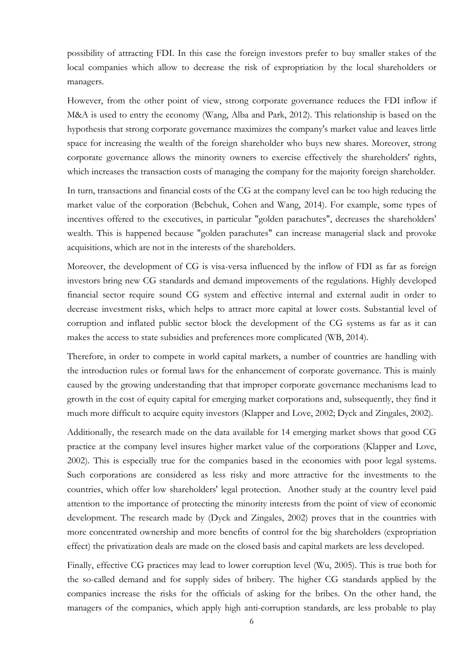possibility of attracting FDI. In this case the foreign investors prefer to buy smaller stakes of the local companies which allow to decrease the risk of expropriation by the local shareholders or managers.

However, from the other point of view, strong corporate governance reduces the FDI inflow if M&A is used to entry the economy (Wang, Alba and Park, 2012). This relationship is based on the hypothesis that strong corporate governance maximizes the company's market value and leaves little space for increasing the wealth of the foreign shareholder who buys new shares. Moreover, strong corporate governance allows the minority owners to exercise effectively the shareholders' rights, which increases the transaction costs of managing the company for the majority foreign shareholder.

In turn, transactions and financial costs of the CG at the company level can be too high reducing the market value of the corporation (Bebchuk, Cohen and Wang, 2014). For example, some types of incentives offered to the executives, in particular "golden parachutes", decreases the shareholders' wealth. This is happened because "golden parachutes" can increase managerial slack and provoke acquisitions, which are not in the interests of the shareholders.

Moreover, the development of CG is visa-versa influenced by the inflow of FDI as far as foreign investors bring new CG standards and demand improvements of the regulations. Highly developed financial sector require sound CG system and effective internal and external audit in order to decrease investment risks, which helps to attract more capital at lower costs. Substantial level of corruption and inflated public sector block the development of the CG systems as far as it can makes the access to state subsidies and preferences more complicated (WB, 2014).

Therefore, in order to compete in world capital markets, a number of countries are handling with the introduction rules or formal laws for the enhancement of corporate governance. This is mainly caused by the growing understanding that that improper corporate governance mechanisms lead to growth in the cost of equity capital for emerging market corporations and, subsequently, they find it much more difficult to acquire equity investors (Klapper and Love, 2002; Dyck and Zingales, 2002).

Additionally, the research made on the data available for 14 emerging market shows that good CG practice at the company level insures higher market value of the corporations (Klapper and Love, 2002). This is especially true for the companies based in the economies with poor legal systems. Such corporations are considered as less risky and more attractive for the investments to the countries, which offer low shareholders' legal protection. Another study at the country level paid attention to the importance of protecting the minority interests from the point of view of economic development. The research made by (Dyck and Zingales, 2002) proves that in the countries with more concentrated ownership and more benefits of control for the big shareholders (expropriation effect) the privatization deals are made on the closed basis and capital markets are less developed.

Finally, effective CG practices may lead to lower corruption level (Wu, 2005). This is true both for the so-called demand and for supply sides of bribery. The higher CG standards applied by the companies increase the risks for the officials of asking for the bribes. On the other hand, the managers of the companies, which apply high anti-corruption standards, are less probable to play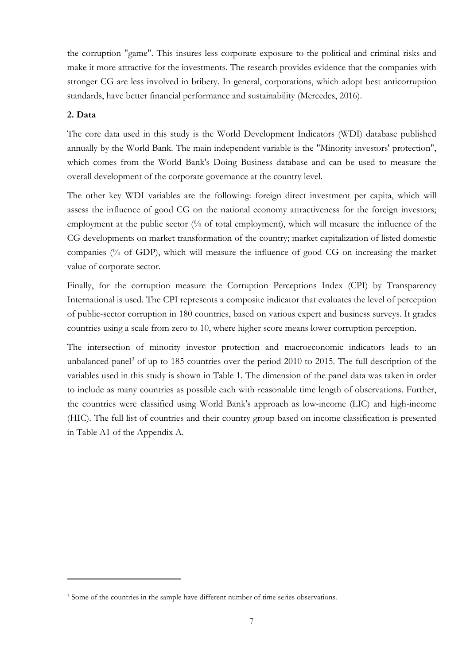the corruption "game". This insures less corporate exposure to the political and criminal risks and make it more attractive for the investments. The research provides evidence that the companies with stronger CG are less involved in bribery. In general, corporations, which adopt best anticorruption standards, have better financial performance and sustainability (Mercedes, 2016).

# **2. Data**

**.** 

The core data used in this study is the World Development Indicators (WDI) database published annually by the World Bank. The main independent variable is the "Minority investors' protection", which comes from the World Bank's Doing Business database and can be used to measure the overall development of the corporate governance at the country level.

The other key WDI variables are the following: foreign direct investment per capita, which will assess the influence of good CG on the national economy attractiveness for the foreign investors; employment at the public sector (% of total employment), which will measure the influence of the CG developments on market transformation of the country; market capitalization of listed domestic companies (% of GDP), which will measure the influence of good CG on increasing the market value of corporate sector.

Finally, for the corruption measure the Corruption Perceptions Index (CPI) by Transparency International is used. The CPI represents a composite indicator that evaluates the level of perception of public-sector corruption in 180 countries, based on various expert and business surveys. It grades countries using a scale from zero to 10, where higher score means lower corruption perception.

The intersection of minority investor protection and macroeconomic indicators leads to an unbalanced panel<sup>[3](#page-6-0)</sup> of up to 185 countries over the period 2010 to 2015. The full description of the variables used in this study is shown in Table 1. The dimension of the panel data was taken in order to include as many countries as possible each with reasonable time length of observations. Further, the countries were classified using World Bank's approach as low-income (LIC) and high-income (HIC). The full list of countries and their country group based on income classification is presented in Table A1 of the Appendix A.

<span id="page-6-0"></span><sup>&</sup>lt;sup>3</sup> Some of the countries in the sample have different number of time series observations.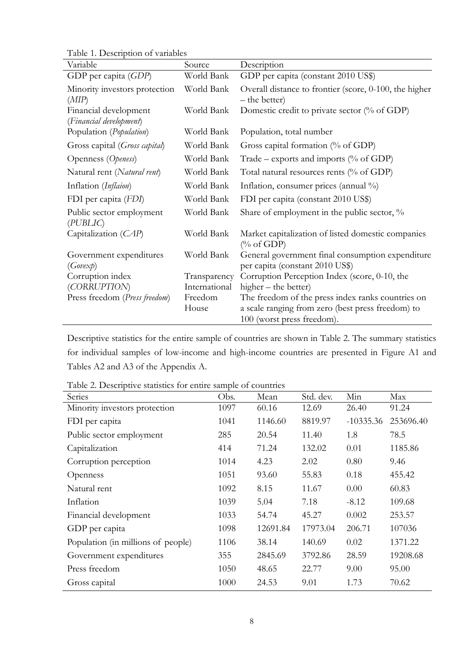Table 1. Description of variables

| Variable                                         | Source        | Description                                                                         |
|--------------------------------------------------|---------------|-------------------------------------------------------------------------------------|
| GDP per capita (GDP)                             | World Bank    | GDP per capita (constant 2010 US\$)                                                 |
| Minority investors protection<br>(MIP)           | World Bank    | Overall distance to frontier (score, 0-100, the higher<br>– the better)             |
| Financial development<br>(Financial development) | World Bank    | Domestic credit to private sector $\frac{0}{0}$ of GDP)                             |
| Population (Population)                          | World Bank    | Population, total number                                                            |
| Gross capital (Gross capital)                    | World Bank    | Gross capital formation (% of GDP)                                                  |
| Openness (Openess)                               | World Bank    | Trade – exports and imports (% of GDP)                                              |
| Natural rent (Natural rent)                      | World Bank    | Total natural resources rents (% of GDP)                                            |
| Inflation (Inflaion)                             | World Bank    | Inflation, consumer prices (annual %)                                               |
| FDI per capita (FDI)                             | World Bank    | FDI per capita (constant 2010 US\$)                                                 |
| Public sector employment<br>(PUBLIC)             | World Bank    | Share of employment in the public sector, %                                         |
| Capitalization (CAP)                             | World Bank    | Market capitalization of listed domestic companies<br>$(\% \text{ of GDP})$         |
| Government expenditures<br>(Govex p)             | World Bank    | General government final consumption expenditure<br>per capita (constant 2010 US\$) |
| Corruption index                                 | Transparency  | Corruption Perception Index (score, 0-10, the                                       |
| (CORRUPTION)                                     | International | higher – the better)                                                                |
| Press freedom (Press freedom)                    | Freedom       | The freedom of the press index ranks countries on                                   |
|                                                  | House         | a scale ranging from zero (best press freedom) to                                   |
|                                                  |               | 100 (worst press freedom).                                                          |

Descriptive statistics for the entire sample of countries are shown in Table 2. The summary statistics for individual samples of low-income and high-income countries are presented in Figure A1 and Tables A2 and A3 of the Appendix A.

| Series                             | Obs. | Mean     | Std. dev. | Min         | Max       |
|------------------------------------|------|----------|-----------|-------------|-----------|
| Minority investors protection      | 1097 | 60.16    | 12.69     | 26.40       | 91.24     |
| FDI per capita                     | 1041 | 1146.60  | 8819.97   | $-10335.36$ | 253696.40 |
| Public sector employment           | 285  | 20.54    | 11.40     | 1.8         | 78.5      |
| Capitalization                     | 414  | 71.24    | 132.02    | 0.01        | 1185.86   |
| Corruption perception              | 1014 | 4.23     | 2.02      | 0.80        | 9.46      |
| Openness                           | 1051 | 93.60    | 55.83     | 0.18        | 455.42    |
| Natural rent                       | 1092 | 8.15     | 11.67     | 0.00        | 60.83     |
| Inflation                          | 1039 | 5.04     | 7.18      | $-8.12$     | 109.68    |
| Financial development              | 1033 | 54.74    | 45.27     | 0.002       | 253.57    |
| GDP per capita                     | 1098 | 12691.84 | 17973.04  | 206.71      | 107036    |
| Population (in millions of people) | 1106 | 38.14    | 140.69    | 0.02        | 1371.22   |
| Government expenditures            | 355  | 2845.69  | 3792.86   | 28.59       | 19208.68  |
| Press freedom                      | 1050 | 48.65    | 22.77     | 9.00        | 95.00     |
| Gross capital                      | 1000 | 24.53    | 9.01      | 1.73        | 70.62     |

Table 2. Descriptive statistics for entire sample of countries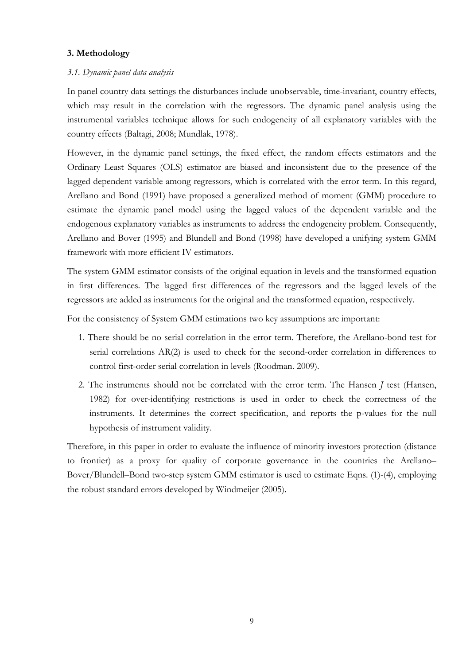# **3. Methodology**

# *3.1. Dynamic panel data analysis*

In panel country data settings the disturbances include unobservable, time-invariant, country effects, which may result in the correlation with the regressors. The dynamic panel analysis using the instrumental variables technique allows for such endogeneity of all explanatory variables with the country effects (Baltagi, 2008; Mundlak, 1978).

However, in the dynamic panel settings, the fixed effect, the random effects estimators and the Ordinary Least Squares (OLS) estimator are biased and inconsistent due to the presence of the lagged dependent variable among regressors, which is correlated with the error term. In this regard, Arellano and Bond (1991) have proposed a generalized method of moment (GMM) procedure to estimate the dynamic panel model using the lagged values of the dependent variable and the endogenous explanatory variables as instruments to address the endogeneity problem. Consequently, Arellano and Bover (1995) and Blundell and Bond (1998) have developed a unifying system GMM framework with more efficient IV estimators.

The system GMM estimator consists of the original equation in levels and the transformed equation in first differences. The lagged first differences of the regressors and the lagged levels of the regressors are added as instruments for the original and the transformed equation, respectively.

For the consistency of System GMM estimations two key assumptions are important:

- 1. There should be no serial correlation in the error term. Therefore, the Arellano-bond test for serial correlations AR(2) is used to check for the second-order correlation in differences to control first-order serial correlation in levels (Roodman. 2009).
- 2. The instruments should not be correlated with the error term. The Hansen *J* test (Hansen, 1982) for over-identifying restrictions is used in order to check the correctness of the instruments. It determines the correct specification, and reports the p-values for the null hypothesis of instrument validity.

Therefore, in this paper in order to evaluate the influence of minority investors protection (distance to frontier) as a proxy for quality of corporate governance in the countries the Arellano– Bover/Blundell–Bond two-step system GMM estimator is used to estimate Eqns. (1)-(4), employing the robust standard errors developed by Windmeijer (2005).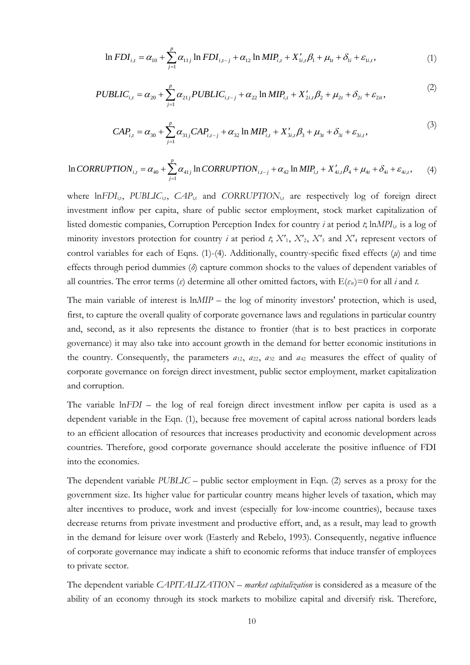$$
\ln FDI_{i,t} = \alpha_{10} + \sum_{j=1}^{p} \alpha_{11j} \ln FDI_{i,t-j} + \alpha_{12} \ln MIP_{i,t} + X'_{1i,t} \beta_1 + \mu_{1t} + \delta_{1i} + \varepsilon_{1i,t},
$$
\n(1)

$$
PUBLIC_{i,t} = \alpha_{20} + \sum_{j=1}^{p} \alpha_{21j} PUBLIC_{i,t-j} + \alpha_{22} \ln MIP_{i,t} + X'_{2i,t} \beta_2 + \mu_{2t} + \delta_{2i} + \varepsilon_{2it},
$$
\n(2)

$$
CAP_{i,t} = \alpha_{30} + \sum_{j=1}^{p} \alpha_{31j} CAP_{i,t-j} + \alpha_{32} \ln MIP_{i,t} + X'_{3i,t} \beta_3 + \mu_{3t} + \delta_{3i} + \varepsilon_{3i,t},
$$
\n(3)

$$
\ln CORRUPTION_{i,t} = \alpha_{40} + \sum_{j=1}^{p} \alpha_{41j} \ln CORRUPTION_{i,t-j} + \alpha_{42} \ln MIP_{i,t} + X'_{4i,t} \beta_{4} + \mu_{4t} + \delta_{4i} + \varepsilon_{4i,t}, \tag{4}
$$

where ln*FDI*<sub>it</sub>, *PUBLIC*<sub>it</sub>, *CAP*<sub>it</sub> and *CORRUPTION*<sub>it</sub> are respectively log of foreign direct investment inflow per capita, share of public sector employment, stock market capitalization of listed domestic companies, Corruption Perception Index for country *i* at period *t*; ln*MPI*<sub>it</sub> is a log of minority investors protection for country *i* at period *t*,  $X'_1$ ,  $X'_2$ ,  $X'_3$  and  $X'_4$  represent vectors of control variables for each of Eqns. (1)-(4). Additionally, country-specific fixed effects (*μ*) and time effects through period dummies (*δ*) capture common shocks to the values of dependent variables of all countries. The error terms ( $\varepsilon$ ) determine all other omitted factors, with  $E(\varepsilon_i)=0$  for all *i* and *t*.

The main variable of interest is  $lnMIP$  – the log of minority investors' protection, which is used, first, to capture the overall quality of corporate governance laws and regulations in particular country and, second, as it also represents the distance to frontier (that is to best practices in corporate governance) it may also take into account growth in the demand for better economic institutions in the country. Consequently, the parameters  $a_{12}$ ,  $a_{22}$ ,  $a_{32}$  and  $a_{42}$  measures the effect of quality of corporate governance on foreign direct investment, public sector employment, market capitalization and corruption.

The variable ln*FDI* – the log of real foreign direct investment inflow per capita is used as a dependent variable in the Eqn. (1), because free movement of capital across national borders leads to an efficient allocation of resources that increases productivity and economic development across countries. Therefore, good corporate governance should accelerate the positive influence of FDI into the economies.

The dependent variable *PUBLIC* – public sector employment in Eqn. (2) serves as a proxy for the government size. Its higher value for particular country means higher levels of taxation, which may alter incentives to produce, work and invest (especially for low-income countries), because taxes decrease returns from private investment and productive effort, and, as a result, may lead to growth in the demand for leisure over work (Easterly and Rebelo, 1993). Consequently, negative influence of corporate governance may indicate a shift to economic reforms that induce transfer of employees to private sector.

The dependent variable *CAPITALIZATION* – *market capitalization* is considered as a measure of the ability of an economy through its stock markets to mobilize capital and diversify risk. Therefore,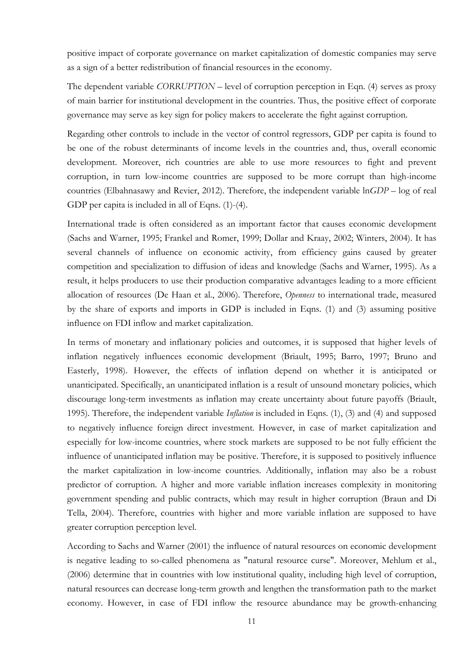positive impact of corporate governance on market capitalization of domestic companies may serve as a sign of a better redistribution of financial resources in the economy.

The dependent variable *CORRUPTION* – level of corruption perception in Eqn. (4) serves as proxy of main barrier for institutional development in the countries. Thus, the positive effect of corporate governance may serve as key sign for policy makers to accelerate the fight against corruption.

Regarding other controls to include in the vector of control regressors, GDP per capita is found to be one of the robust determinants of income levels in the countries and, thus, overall economic development. Moreover, rich countries are able to use more resources to fight and prevent corruption, in turn low-income countries are supposed to be more corrupt than high-income countries (Elbahnasawy and Revier, 2012). Therefore, the independent variable ln*GDP –* log of real GDP per capita is included in all of Eqns. (1)-(4).

International trade is often considered as an important factor that causes economic development (Sachs and Warner, 1995; Frankel and Romer, 1999; Dollar and Kraay, 2002; Winters, 2004). It has several channels of influence on economic activity, from efficiency gains caused by greater competition and specialization to diffusion of ideas and knowledge (Sachs and Warner, 1995). As a result, it helps producers to use their production comparative advantages leading to a more efficient allocation of resources (De Haan et al., 2006). Therefore, *Openness* to international trade, measured by the share of exports and imports in GDP is included in Eqns. (1) and (3) assuming positive influence on FDI inflow and market capitalization.

In terms of monetary and inflationary policies and outcomes, it is supposed that higher levels of inflation negatively influences economic development (Briault, 1995; Barro, 1997; Bruno and Easterly, 1998). However, the effects of inflation depend on whether it is anticipated or unanticipated. Specifically, an unanticipated inflation is a result of unsound monetary policies, which discourage long-term investments as inflation may create uncertainty about future payoffs (Briault, 1995). Therefore, the independent variable *Inflation* is included in Eqns. (1), (3) and (4) and supposed to negatively influence foreign direct investment. However, in case of market capitalization and especially for low-income countries, where stock markets are supposed to be not fully efficient the influence of unanticipated inflation may be positive. Therefore, it is supposed to positively influence the market capitalization in low-income countries. Additionally, inflation may also be a robust predictor of corruption. A higher and more variable inflation increases complexity in monitoring government spending and public contracts, which may result in higher corruption (Braun and Di Tella, 2004). Therefore, countries with higher and more variable inflation are supposed to have greater corruption perception level.

According to Sachs and Warner (2001) the influence of natural resources on economic development is negative leading to so-called phenomena as "natural resource curse". Moreover, Mehlum et al., (2006) determine that in countries with low institutional quality, including high level of corruption, natural resources can decrease long-term growth and lengthen the transformation path to the market economy. However, in case of FDI inflow the resource abundance may be growth-enhancing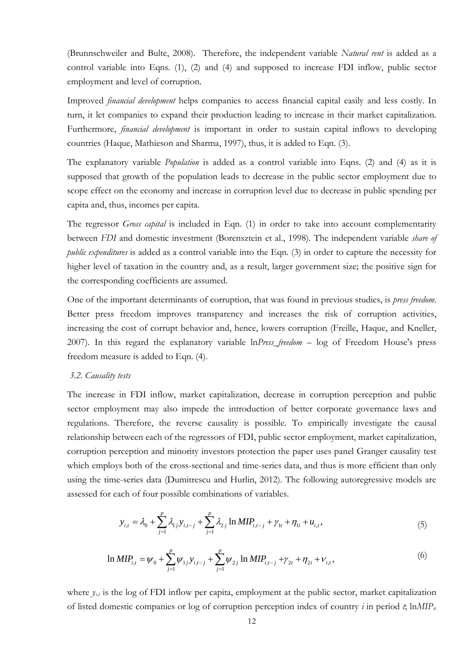(Brunnschweiler and Bulte, 2008). Therefore, the independent variable *Natural rent* is added as a control variable into Eqns. (1), (2) and (4) and supposed to increase FDI inflow, public sector employment and level of corruption.

Improved *financial development* helps companies to access financial capital easily and less costly. In turn, it let companies to expand their production leading to increase in their market capitalization. Furthermore, *financial development* is important in order to sustain capital inflows to developing countries (Haque, Mathieson and Sharma, 1997), thus, it is added to Eqn. (3).

The explanatory variable *Population* is added as a control variable into Eqns. (2) and (4) as it is supposed that growth of the population leads to decrease in the public sector employment due to scope effect on the economy and increase in corruption level due to decrease in public spending per capita and, thus, incomes per capita.

The regressor *Gross capital* is included in Eqn. (1) in order to take into account complementarity between *FDI* and domestic investment (Borensztein et al., 1998). The independent variable *share of public expenditures* is added as a control variable into the Eqn. (3) in order to capture the necessity for higher level of taxation in the country and, as a result, larger government size; the positive sign for the corresponding coefficients are assumed.

One of the important determinants of corruption, that was found in previous studies, is *press freedom*. Better press freedom improves transparency and increases the risk of corruption activities, increasing the cost of corrupt behavior and, hence, lowers corruption (Freille, Haque, and Kneller, 2007). In this regard the explanatory variable ln*Press\_freedom* – log of Freedom House's press freedom measure is added to Eqn. (4).

#### *3.2. Causality tests*

The increase in FDI inflow, market capitalization, decrease in corruption perception and public sector employment may also impede the introduction of better corporate governance laws and regulations. Therefore, the reverse causality is possible. To empirically investigate the causal relationship between each of the regressors of FDI, public sector employment, market capitalization, corruption perception and minority investors protection the paper uses panel Granger causality test which employs both of the cross-sectional and time-series data, and thus is more efficient than only using the time-series data (Dumitrescu and Hurlin, 2012). The following autoregressive models are assessed for each of four possible combinations of variables.

$$
y_{i,t} = \lambda_0 + \sum_{j=1}^p \lambda_{1j} y_{i,t-j} + \sum_{j=1}^p \lambda_{2j} \ln MIP_{i,t-j} + \gamma_{1t} + \eta_{1i} + u_{i,t},
$$
\n(5)

$$
\ln MIP_{i,t} = \psi_0 + \sum_{j=1}^p \psi_{1j} y_{i,t-j} + \sum_{j=1}^p \psi_{2j} \ln MIP_{i,t-j} + \gamma_{2t} + \eta_{2i} + \nu_{i,t},
$$
\n(6)

where  $y_{it}$  is the log of FDI inflow per capita, employment at the public sector, market capitalization of listed domestic companies or log of corruption perception index of country  $i$  in period  $t$ ; ln*MIP<sub>it</sub>*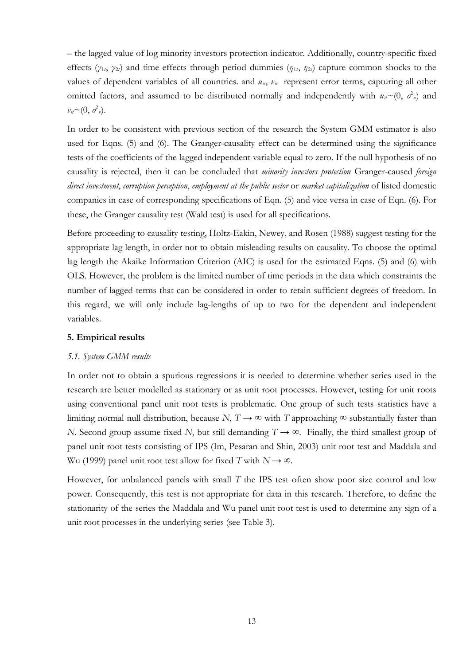– the lagged value of log minority investors protection indicator. Additionally, country-specific fixed effects (*γ*<sup>1</sup>*t*, *γ*<sup>2</sup>*t*) and time effects through period dummies (*η*<sup>1</sup>*t*, *η*<sup>2</sup>*t*) capture common shocks to the values of dependent variables of all countries. and  $u_{ii}$ ,  $v_{ii}$  represent error terms, capturing all other omitted factors, and assumed to be distributed normally and independently with  $u_{ii} \sim (0, \sigma^2)$  and  $v_{it} \sim (0, \sigma^2 v).$ 

In order to be consistent with previous section of the research the System GMM estimator is also used for Eqns. (5) and (6). The Granger-causality effect can be determined using the significance tests of the coefficients of the lagged independent variable equal to zero. If the null hypothesis of no causality is rejected, then it can be concluded that *minority investors protection* Granger-caused *foreign direct investment*, *corruption perception*, *employment at the public sector* or *market capitalization* of listed domestic companies in case of corresponding specifications of Eqn. (5) and vice versa in case of Eqn. (6). For these, the Granger causality test (Wald test) is used for all specifications.

Before proceeding to causality testing, Holtz-Eakin, Newey, and Rosen (1988) suggest testing for the appropriate lag length, in order not to obtain misleading results on causality. To choose the optimal lag length the Akaike Information Criterion (AIC) is used for the estimated Eqns. (5) and (6) with OLS. However, the problem is the limited number of time periods in the data which constraints the number of lagged terms that can be considered in order to retain sufficient degrees of freedom. In this regard, we will only include lag-lengths of up to two for the dependent and independent variables.

#### **5. Empirical results**

#### *5.1. System GMM results*

In order not to obtain a spurious regressions it is needed to determine whether series used in the research are better modelled as stationary or as unit root processes. However, testing for unit roots using conventional panel unit root tests is problematic. One group of such tests statistics have a limiting normal null distribution, because *N*,  $T \rightarrow \infty$  with *T* approaching  $\infty$  substantially faster than *N*. Second group assume fixed *N*, but still demanding *T* → ∞. Finally, the third smallest group of panel unit root tests consisting of IPS (Im, Pesaran and Shin, 2003) unit root test and Maddala and Wu (1999) panel unit root test allow for fixed *T* with  $N \rightarrow \infty$ .

However, for unbalanced panels with small *T* the IPS test often show poor size control and low power. Consequently, this test is not appropriate for data in this research. Therefore, to define the stationarity of the series the Maddala and Wu panel unit root test is used to determine any sign of a unit root processes in the underlying series (see Table 3).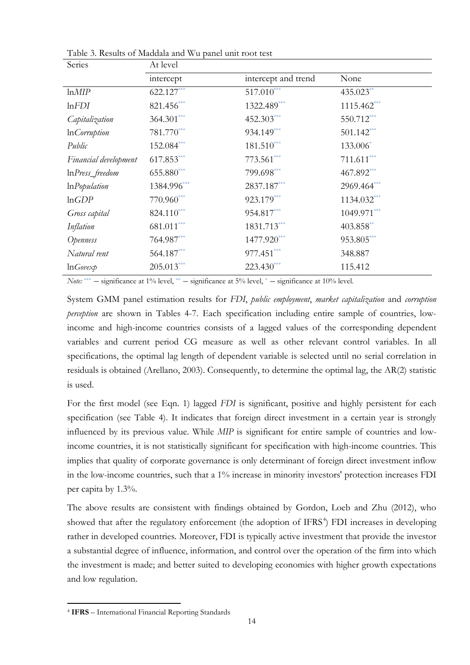| Series                 | At level     |                     |               |
|------------------------|--------------|---------------------|---------------|
|                        | intercept    | intercept and trend | None          |
| lnMIP                  | 622.127***   | $517.010***$        | 435.023**     |
| lnFDI                  | 821.456***   | 1322.489***         | $1115.462***$ |
| Capitalization         | $364.301***$ | 452.303***          | 550.712***    |
| In <i>Corruption</i>   | $781.770***$ | 934.149***          | $501.142***$  |
| Public                 | 152.084***   | $181.510***$        | 133.006*      |
| Financial development  | 617.853***   | $773.561***$        | $711.611***$  |
| InPress_freedom        | $655.880***$ | 799.698***          | 467.892***    |
| $ln$ <i>Population</i> | 1384.996***  | 2837.187***         | 2969.464***   |
| lnGDP                  | 770.960***   | 923.179***          | 1134.032***   |
| Gross capital          | $824.110***$ | 954.817***          | $1049.971***$ |
| Inflation              | $681.011***$ | 1831.713***         | 403.858**     |
| Openness               | 764.987***   | 1477.920***         | 953.805***    |
| Natural rent           | 564.187***   | $977.451***$        | 348.887       |
| $lnGove \times p$      | $205.013***$ | $223.430***$        | 115.412       |

Table 3. Results of Maddala and Wu panel unit root test

Note: \*\*\* - significance at 1% level, \*\* - significance at 5% level, \* - significance at 10% level.

System GMM panel estimation results for *FDI*, *public employment*, *market capitalization* and *corruption perception* are shown in Tables 4-7. Each specification including entire sample of countries, lowincome and high-income countries consists of a lagged values of the corresponding dependent variables and current period CG measure as well as other relevant control variables. In all specifications, the optimal lag length of dependent variable is selected until no serial correlation in residuals is obtained (Arellano, 2003). Consequently, to determine the optimal lag, the AR(2) statistic is used.

For the first model (see Eqn. 1) lagged *FDI* is significant, positive and highly persistent for each specification (see Table 4). It indicates that foreign direct investment in a certain year is strongly influenced by its previous value. While *MIP* is significant for entire sample of countries and lowincome countries, it is not statistically significant for specification with high-income countries. This implies that quality of corporate governance is only determinant of foreign direct investment inflow in the low-income countries, such that a 1% increase in minority investors' protection increases FDI per capita by 1.3%.

The above results are consistent with findings obtained by Gordon, Loeb and Zhu (2012), who showed that after the regulatory enforcement (the adoption of IFRS<sup>[4](#page-13-0)</sup>) FDI increases in developing rather in developed countries. Moreover, FDI is typically active investment that provide the investor a substantial degree of influence, information, and control over the operation of the firm into which the investment is made; and better suited to developing economies with higher growth expectations and low regulation.

 $\overline{a}$ 

<span id="page-13-0"></span><sup>4</sup> **IFRS** – International Financial Reporting Standards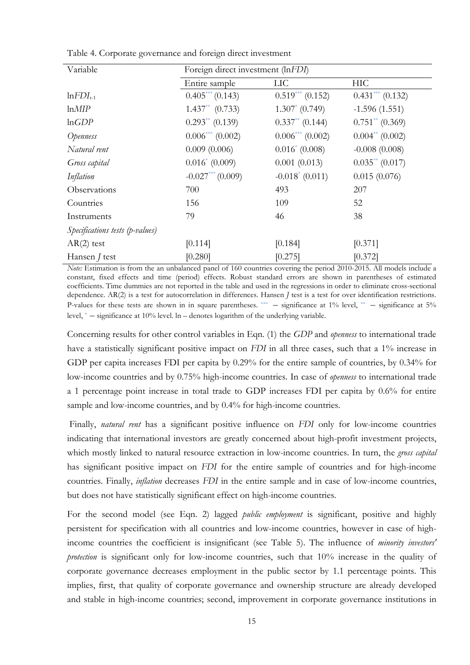| Variable                        | Foreign direct investment (lnFDI) |                      |                      |  |  |
|---------------------------------|-----------------------------------|----------------------|----------------------|--|--|
|                                 | Entire sample                     | ПC                   | HIC                  |  |  |
| $ln FDI_{t-1}$                  | $0.405***(0.143)$                 | $0.519***$ (0.152)   | $0.431***(0.132)$    |  |  |
| lnMIP                           | $1.437^{**}$ (0.733)              | $1.307^* (0.749)$    | $-1.596(1.551)$      |  |  |
| lnGDP                           | $0.293**$ (0.139)                 | $0.337^{**}$ (0.144) | $0.751^{**}$ (0.369) |  |  |
| Openness                        | $0.006***(0.002)$                 | $0.006***(0.002)$    | $0.004^{**}$ (0.002) |  |  |
| Natural rent                    | 0.009(0.006)                      | $0.016^* (0.008)$    | $-0.008(0.008)$      |  |  |
| Gross capital                   | $0.016^* (0.009)$                 | 0.001(0.013)         | $0.035^{**}$ (0.017) |  |  |
| Inflation                       | $-0.027***(0.009)$                | $-0.018^* (0.011)$   | 0.015(0.076)         |  |  |
| Observations                    | 700                               | 493                  | 207                  |  |  |
| Countries                       | 156                               | 109                  | 52                   |  |  |
| Instruments                     | 79                                | 46                   | 38                   |  |  |
| Specifications tests (p-values) |                                   |                      |                      |  |  |
| $AR(2)$ test                    | [0.114]                           | [0.184]              | [0.371]              |  |  |
| Hansen <i>J</i> test            | [0.280]                           | [0.275]              | [0.372]              |  |  |

Table 4. Corporate governance and foreign direct investment

*Note:* Estimation is from the an unbalanced panel of 160 countries covering the period 2010-2015. All models include a constant, fixed effects and time (period) effects. Robust standard errors are shown in parentheses of estimated coefficients. Time dummies are not reported in the table and used in the regressions in order to eliminate cross-sectional dependence. AR(2) is a test for autocorrelation in differences. Hansen *J* test is a test for over identification restrictions. P-values for these tests are shown in in square parentheses.  $***$  – significance at 1% level,  $**$  – significance at 5% level, \* – significance at 10% level. ln – denotes logarithm of the underlying variable.

Concerning results for other control variables in Eqn. (1) the *GDP* and *openness* to international trade have a statistically significant positive impact on *FDI* in all three cases, such that a 1% increase in GDP per capita increases FDI per capita by 0.29% for the entire sample of countries, by 0.34% for low-income countries and by 0.75% high-income countries. In case of *openness* to international trade a 1 percentage point increase in total trade to GDP increases FDI per capita by 0.6% for entire sample and low-income countries, and by 0.4% for high-income countries.

Finally, *natural rent* has a significant positive influence on *FDI* only for low-income countries indicating that international investors are greatly concerned about high-profit investment projects, which mostly linked to natural resource extraction in low-income countries. In turn, the *gross capital* has significant positive impact on *FDI* for the entire sample of countries and for high-income countries. Finally, *inflation* decreases *FDI* in the entire sample and in case of low-income countries, but does not have statistically significant effect on high-income countries.

For the second model (see Eqn. 2) lagged *public employment* is significant, positive and highly persistent for specification with all countries and low-income countries, however in case of highincome countries the coefficient is insignificant (see Table 5). The influence of *minority investors' protection* is significant only for low-income countries, such that 10% increase in the quality of corporate governance decreases employment in the public sector by 1.1 percentage points. This implies, first, that quality of corporate governance and ownership structure are already developed and stable in high-income countries; second, improvement in corporate governance institutions in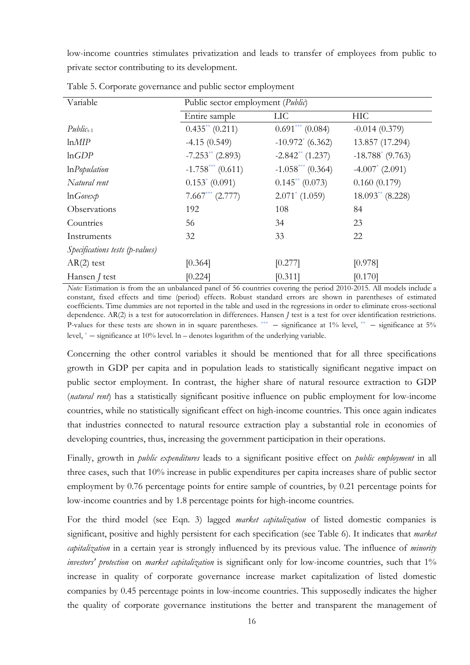low-income countries stimulates privatization and leads to transfer of employees from public to private sector contributing to its development.

| Variable                        | Public sector employment ( <i>Public</i> ) |                        |                     |  |  |  |
|---------------------------------|--------------------------------------------|------------------------|---------------------|--|--|--|
|                                 |                                            |                        |                     |  |  |  |
|                                 | Entire sample                              | LIC                    | <b>HIC</b>          |  |  |  |
| $Public_{t-1}$                  | $0.435^{**}$ (0.211)                       | $0.691***$ (0.084)     | $-0.014(0.379)$     |  |  |  |
| lnMIP                           | $-4.15(0.549)$                             | $-10.972^{*}$ (6.362)  | 13.857 (17.294)     |  |  |  |
| lnGDP                           | $-7.253**$ (2.893)                         | $-2.842**$ (1.237)     | $-18.788^*$ (9.763) |  |  |  |
| $ln$ <i>Population</i>          | $-1.758^{***}$ (0.611)                     | $-1.058^{***}$ (0.364) | $-4.007^*$ (2.091)  |  |  |  |
| Natural rent                    | $0.153^* (0.091)$                          | $0.145^{**}$ (0.073)   | 0.160(0.179)        |  |  |  |
| $lnG$ ovex $p$                  | $7.667***$ (2.777)                         | $2.071^* (1.059)$      | $18.093**$ (8.228)  |  |  |  |
| Observations                    | 192                                        | 108                    | 84                  |  |  |  |
| Countries                       | 56                                         | 34                     | 23                  |  |  |  |
| Instruments                     | 32                                         | 33                     | 22                  |  |  |  |
| Specifications tests (p-values) |                                            |                        |                     |  |  |  |
| $AR(2)$ test                    | [0.364]                                    | [0.277]                | [0.978]             |  |  |  |
| Hansen <i>J</i> test            | [0.224]                                    | [0.311]                | [0.170]             |  |  |  |

Table 5. Corporate governance and public sector employment

*Note:* Estimation is from the an unbalanced panel of 56 countries covering the period 2010-2015. All models include a constant, fixed effects and time (period) effects. Robust standard errors are shown in parentheses of estimated coefficients. Time dummies are not reported in the table and used in the regressions in order to eliminate cross-sectional dependence. AR(2) is a test for autocorrelation in differences. Hansen *J* test is a test for over identification restrictions. P-values for these tests are shown in in square parentheses.  $***$  – significance at 1% level,  $**$  – significance at 5% level, \* – significance at 10% level. ln – denotes logarithm of the underlying variable.

Concerning the other control variables it should be mentioned that for all three specifications growth in GDP per capita and in population leads to statistically significant negative impact on public sector employment. In contrast, the higher share of natural resource extraction to GDP (*natural rent*) has a statistically significant positive influence on public employment for low-income countries, while no statistically significant effect on high-income countries. This once again indicates that industries connected to natural resource extraction play a substantial role in economies of developing countries, thus, increasing the government participation in their operations.

Finally, growth in *public expenditures* leads to a significant positive effect on *public employment* in all three cases, such that 10% increase in public expenditures per capita increases share of public sector employment by 0.76 percentage points for entire sample of countries, by 0.21 percentage points for low-income countries and by 1.8 percentage points for high-income countries.

For the third model (see Eqn. 3) lagged *market capitalization* of listed domestic companies is significant, positive and highly persistent for each specification (see Table 6). It indicates that *market capitalization* in a certain year is strongly influenced by its previous value. The influence of *minority investors' protection* on *market capitalization* is significant only for low-income countries, such that 1% increase in quality of corporate governance increase market capitalization of listed domestic companies by 0.45 percentage points in low-income countries. This supposedly indicates the higher the quality of corporate governance institutions the better and transparent the management of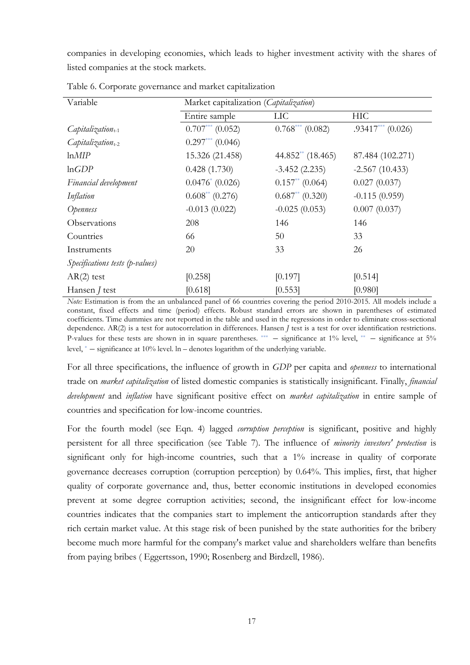companies in developing economies, which leads to higher investment activity with the shares of listed companies at the stock markets.

| Variable                        | Market capitalization (Capitalization) |                      |                     |  |  |  |
|---------------------------------|----------------------------------------|----------------------|---------------------|--|--|--|
|                                 | Entire sample                          | <b>LIC</b>           | <b>HIC</b>          |  |  |  |
| $Capitalization_{t-1}$          | $0.707***$ (0.052)                     | $0.768***$ (0.082)   | $.93417***$ (0.026) |  |  |  |
| $C$ apitalization $_{t-2}$      | $0.297***$ (0.046)                     |                      |                     |  |  |  |
| lnMIP                           | 15.326 (21.458)                        | $44.852**$ (18.465)  | 87.484 (102.271)    |  |  |  |
| lnGDP                           | 0.428(1.730)                           | $-3.452(2.235)$      | $-2.567(10.433)$    |  |  |  |
| Financial development           | $0.0476^* (0.026)$                     | $0.157^{**}$ (0.064) | 0.027(0.037)        |  |  |  |
| Inflation                       | $0.608^{**}$ (0.276)                   | $0.687^{**}$ (0.320) | $-0.115(0.959)$     |  |  |  |
| Openness                        | $-0.013(0.022)$                        | $-0.025(0.053)$      | 0.007(0.037)        |  |  |  |
| Observations                    | 208                                    | 146                  | 146                 |  |  |  |
| Countries                       | 66                                     | 50                   | 33                  |  |  |  |
| Instruments                     | 20                                     | 33                   | 26                  |  |  |  |
| Specifications tests (p-values) |                                        |                      |                     |  |  |  |
| $AR(2)$ test                    | [0.258]                                | [0.197]              | [0.514]             |  |  |  |
| Hansen <i>J</i> test            | [0.618]                                | [0.553]              | [0.980]             |  |  |  |

Table 6. Corporate governance and market capitalization

*Note:* Estimation is from the an unbalanced panel of 66 countries covering the period 2010-2015. All models include a constant, fixed effects and time (period) effects. Robust standard errors are shown in parentheses of estimated coefficients. Time dummies are not reported in the table and used in the regressions in order to eliminate cross-sectional dependence. AR(2) is a test for autocorrelation in differences. Hansen *J* test is a test for over identification restrictions. P-values for these tests are shown in in square parentheses.  $***$  – significance at 1% level,  $**$  – significance at 5% level, \* – significance at 10% level. ln – denotes logarithm of the underlying variable.

For all three specifications, the influence of growth in *GDP* per capita and *openness* to international trade on *market capitalization* of listed domestic companies is statistically insignificant. Finally, *financial development* and *inflation* have significant positive effect on *market capitalization* in entire sample of countries and specification for low-income countries.

For the fourth model (see Eqn. 4) lagged *corruption perception* is significant, positive and highly persistent for all three specification (see Table 7). The influence of *minority investors' protection* is significant only for high-income countries, such that a 1% increase in quality of corporate governance decreases corruption (corruption perception) by 0.64%. This implies, first, that higher quality of corporate governance and, thus, better economic institutions in developed economies prevent at some degree corruption activities; second, the insignificant effect for low-income countries indicates that the companies start to implement the anticorruption standards after they rich certain market value. At this stage risk of been punished by the state authorities for the bribery become much more harmful for the company's market value and shareholders welfare than benefits from paying bribes ( Eggertsson, 1990; Rosenberg and Birdzell, 1986).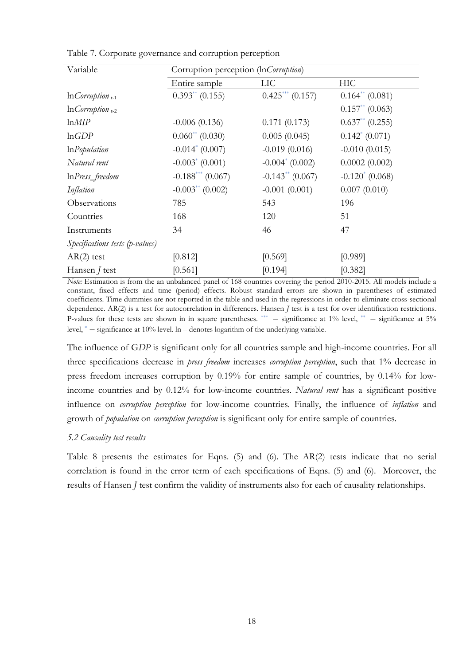| Variable                        | Corruption perception (InCorruption) |                    |                      |  |  |
|---------------------------------|--------------------------------------|--------------------|----------------------|--|--|
|                                 | Entire sample                        | <b>LIC</b>         | HIC                  |  |  |
| $lnCorrution_{t-1}$             | $0.393**$ (0.155)                    | $0.425***(0.157)$  | $0.164^{**}$ (0.081) |  |  |
| $lnCorrution_{t-2}$             |                                      |                    | $0.157^{**}$ (0.063) |  |  |
| lnMIP                           | $-0.006(0.136)$                      | 0.171(0.173)       | $0.637^{**}$ (0.255) |  |  |
| lnGDP                           | $0.060^{**}$ (0.030)                 | 0.005(0.045)       | $0.142^* (0.071)$    |  |  |
| $ln$ <i>Population</i>          | $-0.014^* (0.007)$                   | $-0.019(0.016)$    | $-0.010(0.015)$      |  |  |
| Natural rent                    | $-0.003^* (0.001)$                   | $-0.004^*$ (0.002) | 0.0002(0.002)        |  |  |
| $lnPress$ freedom               | $-0.188^{***}$ (0.067)               | $-0.143**$ (0.067) | $-0.120^{*}$ (0.068) |  |  |
| Inflation                       | $-0.003^{**}$ (0.002)                | $-0.001(0.001)$    | 0.007(0.010)         |  |  |
| Observations                    | 785                                  | 543                | 196                  |  |  |
| Countries                       | 168                                  | 120                | 51                   |  |  |
| Instruments                     | 34                                   | 46                 | 47                   |  |  |
| Specifications tests (p-values) |                                      |                    |                      |  |  |
| $AR(2)$ test                    | [0.812]                              | [0.569]            | [0.989]              |  |  |
| Hansen <i>J</i> test            | [0.561]                              | [0.194]            | [0.382]              |  |  |

Table 7. Corporate governance and corruption perception

*Note:* Estimation is from the an unbalanced panel of 168 countries covering the period 2010-2015. All models include a constant, fixed effects and time (period) effects. Robust standard errors are shown in parentheses of estimated coefficients. Time dummies are not reported in the table and used in the regressions in order to eliminate cross-sectional dependence. AR(2) is a test for autocorrelation in differences. Hansen *J* test is a test for over identification restrictions. P-values for these tests are shown in in square parentheses.  $***$  – significance at 1% level,  $**$  – significance at 5% level, \* – significance at 10% level. ln – denotes logarithm of the underlying variable.

The influence of G*DP* is significant only for all countries sample and high-income countries. For all three specifications decrease in *press freedom* increases *corruption perception*, such that 1% decrease in press freedom increases corruption by 0.19% for entire sample of countries, by 0.14% for lowincome countries and by 0.12% for low-income countries. *Natural rent* has a significant positive influence on *corruption perception* for low-income countries. Finally, the influence of *inflation* and growth of *population* on *corruption perception* is significant only for entire sample of countries.

## *5.2 Causality test results*

Table 8 presents the estimates for Eqns. (5) and (6). The AR(2) tests indicate that no serial correlation is found in the error term of each specifications of Eqns. (5) and (6). Moreover, the results of Hansen *J* test confirm the validity of instruments also for each of causality relationships.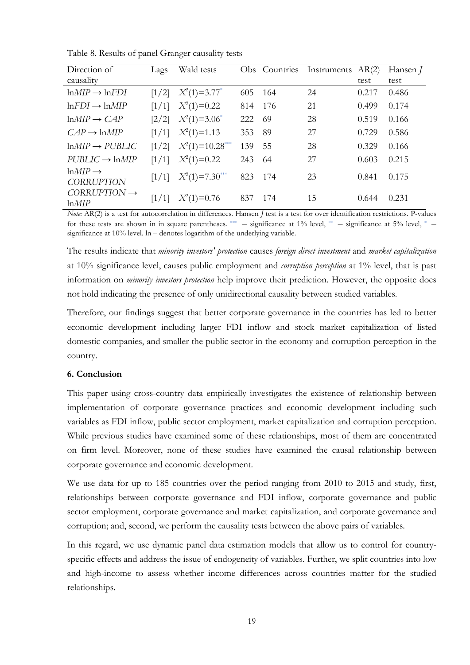Table 8. Results of panel Granger causality tests

| Direction of                             | Lags    | Wald tests          |     | Obs Countries | Instruments | AR(2) | Hansen <i>J</i> |
|------------------------------------------|---------|---------------------|-----|---------------|-------------|-------|-----------------|
| causality                                |         |                     |     |               |             | test  | test            |
| $lnMIP \rightarrow lnFDI$                | [1/2]   | $X^2(1)=3.77^*$     | 605 | -164          | 24          | 0.217 | 0.486           |
| $ln FDI \rightarrow ln MIP$              | [1/1]   | $X^2(1)=0.22$       | 814 | 176           | 21          | 0.499 | 0.174           |
| $lnMIP \rightarrow CAP$                  | $[2/2]$ | $X^2(1)=3.06^*$     | 222 | -69           | 28          | 0.519 | 0.166           |
| $CAP \rightarrow \text{ln}MIP$           | [1/1]   | $X^2(1)=1.13$       | 353 | 89            | 27          | 0.729 | 0.586           |
| $lnMIP \rightarrow PUBLIC$               | [1/2]   | $X^2(1)=10.28$ ***  | 139 | 55            | 28          | 0.329 | 0.166           |
| $PUBLIC \rightarrow InMIP$               | [1/1]   | $X^2(1)=0.22$       | 243 | -64           | 27          | 0.603 | 0.215           |
| $lnMIP \rightarrow$<br><b>CORRUPTION</b> | [1/1]   | $X^2(1)=7.30^{***}$ | 823 | 174           | 23          | 0.841 | 0.175           |
| $CORRUPTION \rightarrow$<br>lnMIP        | [1/1]   | $X^2(1)=0.76$       | 837 | 174           | 15          | 0.644 | 0.231           |

*Note: AR(2)* is a test for autocorrelation in differences. Hansen *J* test is a test for over identification restrictions. P-values for these tests are shown in in square parentheses. \*\*\*  $-$  significance at 1% level, \*\*  $-$  significance at 5% level, \*  $$ significance at 10% level. ln – denotes logarithm of the underlying variable.

The results indicate that *minority investors' protection* causes *foreign direct investment* and *market capitalization* at 10% significance level, causes public employment and *corruption perception* at 1% level, that is past information on *minority investors protection* help improve their prediction. However, the opposite does not hold indicating the presence of only unidirectional causality between studied variables.

Therefore, our findings suggest that better corporate governance in the countries has led to better economic development including larger FDI inflow and stock market capitalization of listed domestic companies, and smaller the public sector in the economy and corruption perception in the country.

## **6. Conclusion**

This paper using cross-country data empirically investigates the existence of relationship between implementation of corporate governance practices and economic development including such variables as FDI inflow, public sector employment, market capitalization and corruption perception. While previous studies have examined some of these relationships, most of them are concentrated on firm level. Moreover, none of these studies have examined the causal relationship between corporate governance and economic development.

We use data for up to 185 countries over the period ranging from 2010 to 2015 and study, first, relationships between corporate governance and FDI inflow, corporate governance and public sector employment, corporate governance and market capitalization, and corporate governance and corruption; and, second, we perform the causality tests between the above pairs of variables.

In this regard, we use dynamic panel data estimation models that allow us to control for countryspecific effects and address the issue of endogeneity of variables. Further, we split countries into low and high-income to assess whether income differences across countries matter for the studied relationships.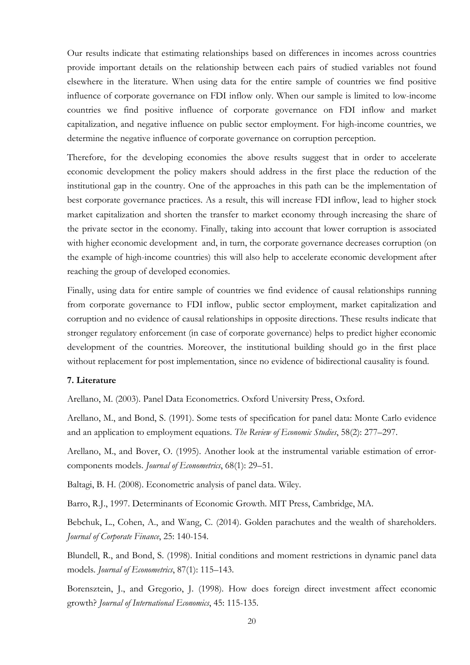Our results indicate that estimating relationships based on differences in incomes across countries provide important details on the relationship between each pairs of studied variables not found elsewhere in the literature. When using data for the entire sample of countries we find positive influence of corporate governance on FDI inflow only. When our sample is limited to low-income countries we find positive influence of corporate governance on FDI inflow and market capitalization, and negative influence on public sector employment. For high-income countries, we determine the negative influence of corporate governance on corruption perception.

Therefore, for the developing economies the above results suggest that in order to accelerate economic development the policy makers should address in the first place the reduction of the institutional gap in the country. One of the approaches in this path can be the implementation of best corporate governance practices. As a result, this will increase FDI inflow, lead to higher stock market capitalization and shorten the transfer to market economy through increasing the share of the private sector in the economy. Finally, taking into account that lower corruption is associated with higher economic development and, in turn, the corporate governance decreases corruption (on the example of high-income countries) this will also help to accelerate economic development after reaching the group of developed economies.

Finally, using data for entire sample of countries we find evidence of causal relationships running from corporate governance to FDI inflow, public sector employment, market capitalization and corruption and no evidence of causal relationships in opposite directions. These results indicate that stronger regulatory enforcement (in case of corporate governance) helps to predict higher economic development of the countries. Moreover, the institutional building should go in the first place without replacement for post implementation, since no evidence of bidirectional causality is found.

# **7. Literature**

Arellano, M. (2003). Panel Data Econometrics. Oxford University Press, Oxford.

Arellano, M., and Bond, S. (1991). Some tests of specification for panel data: Monte Carlo evidence and an application to employment equations. *The Review of Economic Studies*, 58(2): 277–297.

Arellano, M., and Bover, O. (1995). Another look at the instrumental variable estimation of errorcomponents models. *Journal of Econometrics*, 68(1): 29–51.

Baltagi, B. H. (2008). Econometric analysis of panel data. Wiley.

Barro, R.J., 1997. Determinants of Economic Growth. MIT Press, Cambridge, MA.

Bebchuk, L., Cohen, A., and Wang, C. (2014). Golden parachutes and the wealth of shareholders. *Journal of Corporate Finance*, 25: 140-154.

Blundell, R., and Bond, S. (1998). Initial conditions and moment restrictions in dynamic panel data models. *Journal of Econometrics*, 87(1): 115–143.

Borensztein, J., and Gregorio, J. (1998). How does foreign direct investment affect economic growth? *Journal of International Economics*, 45: 115-135.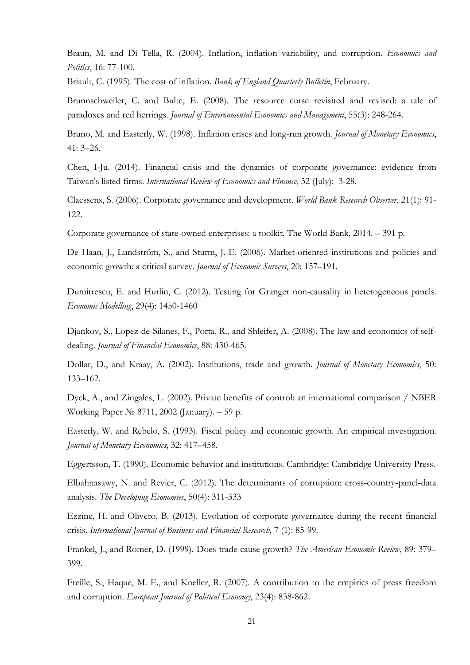Braun, M. and Di Tella, R. (2004). Inflation, inflation variability, and corruption. *Economics and Politics*, 16: 77-100.

Briault, C. (1995). The cost of inflation. *Bank of England Quarterly Bulletin*, February.

Brunnschweiler, C. and Bulte, E. (2008). The resource curse revisited and revised: a tale of paradoxes and red herrings. *Journal of Environmental Economics and Management*, 55(3): 248-264.

Bruno, M. and Easterly, W. (1998). Inflation crises and long-run growth. *Journal of Monetary Economics*, 41: 3–26.

Chen, I-Ju. (2014). Financial crisis and the dynamics of corporate governance: evidence from Taiwan's listed firms. *International Review of Economics and Finance*, 32 (July): 3-28.

Claessens, S. (2006). Corporate governance and development. *World Bank Research Observer*, 21(1): 91- 122.

Corporate governance of state-owned enterprises: a toolkit. The World Bank, 2014. – 391 p.

De Haan, J., Lundström, S., and Sturm, J.-E. (2006). Market-oriented institutions and policies and economic growth: a critical survey. *Journal of Economic Surveys*, 20: 157–191.

Dumitrescu, E. and Hurlin, C. (2012). Testing for Granger non-causality in heterogeneous panels. *Economic Modelling*, 29(4): 1450-1460

Djankov, S., Lopez-de-Silanes, F., Porta, R., and Shleifer, A. (2008). The law and economics of selfdealing. *Journal of Financial Economics*, 88: 430-465.

Dollar, D., and Kraay, A. (2002). Institutions, trade and growth. *Journal of Monetary Economics*, 50: 133–162.

Dyck, A., and Zingales, L. (2002). Private benefits of control: an international comparison / NBER Working Paper № 8711, 2002 (January). – 59 p.

Easterly, W. and Rebelo, S. (1993). Fiscal policy and economic growth. An empirical investigation. *Journal of Monetary Economics*, 32: 417–458.

Eggertsson, T. (1990). Economic behavior and institutions. Cambridge: Cambridge University Press.

Elbahnasawy, N. and Revier, C. (2012). The determinants of corruption: cross-country-panel-data analysis. *The Developing Economies*, 50(4): 311-333

Ezzine, H. and Olivero, B. (2013). Evolution of corporate governance during the recent financial crisis. *International Journal of Business and Financial Research,* 7 (1): 85-99.

Frankel, J., and Romer, D. (1999). Does trade cause growth? *The American Economic Review*, 89: 379– 399.

Freille, S., Haque, M. E., and Kneller, R. (2007). A contribution to the empirics of press freedom and corruption. *European Journal of Political Economy*, 23(4): 838-862.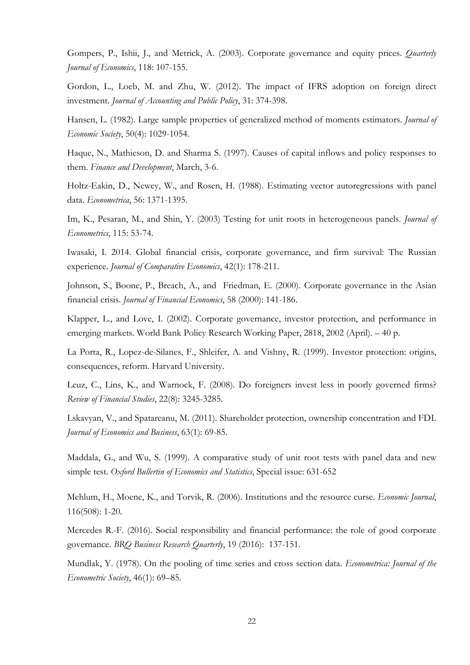Gompers, P., Ishii, J., and Metrick, A. (2003). Corporate governance and equity prices. *Quarterly Journal of Economics*, 118: 107-155.

Gordon, L., Loeb, M. and Zhu, W. (2012). The impact of IFRS adoption on foreign direct investment. *Journal of Accounting and Public Policy*, 31: 374-398.

Hansen, L. (1982). Large sample properties of generalized method of moments estimators. *Journal of Economic Society*, 50(4): 1029-1054.

Haque, N., Mathieson, D. and Sharma S. (1997). Causes of capital inflows and policy responses to them. *Finance and Development*, March, 3-6.

Holtz-Eakin, D., Newey, W., and Rosen, H. (1988). Estimating vector autoregressions with panel data. *Econometrica*, 56: 1371-1395.

Im, K., Pesaran, M., and Shin, Y. (2003) Testing for unit roots in heterogeneous panels. *Journal of Econometrics*, 115: 53-74.

Iwasaki, I. 2014. Global financial crisis, corporate governance, and firm survival: The Russian experience. *Journal of Comparative Economics*, 42(1): 178-211.

Johnson, S., Boone, P., Breach, A., and Friedman, E. (2000). Corporate governance in the Asian financial crisis. *Journal of Financial Economics*, 58 (2000): 141-186.

Klapper, L., and Love, I. (2002). Corporate governance, investor protection, and performance in emerging markets. World Bank Policy Research Working Paper, 2818, 2002 (April). – 40 p.

La Porta, R., Lopez-de-Silanes, F., Shleifer, A. and Vishny, R. (1999). Investor protection: origins, consequences, reform. Harvard University.

Leuz, C., Lins, K., and Warnock, F. (2008). Do foreigners invest less in poorly governed firms? *Review of Financial Studies*, 22(8): 3245-3285.

Lskavyan, V., and Spatareanu, M. (2011). Shareholder protection, ownership concentration and FDI. *Journal of Economics and Business*, 63(1): 69-85.

Maddala, G., and Wu, S. (1999). A comparative study of unit root tests with panel data and new simple test. *Oxford Bullertin of Economics and Statistics*, Special issue: 631-652

Mehlum, H., Moene, K., and Torvik, R. (2006). Institutions and the resource curse. *Economic Journal*, 116(508): 1-20.

Mercedes R.-F. (2016). Social responsibility and financial performance: the role of good corporate governance. *BRQ Business Research Quarterly*, 19 (2016): 137-151.

Mundlak, Y. (1978). On the pooling of time series and cross section data. *Econometrica: Journal of the Econometric Society*, 46(1): 69–85.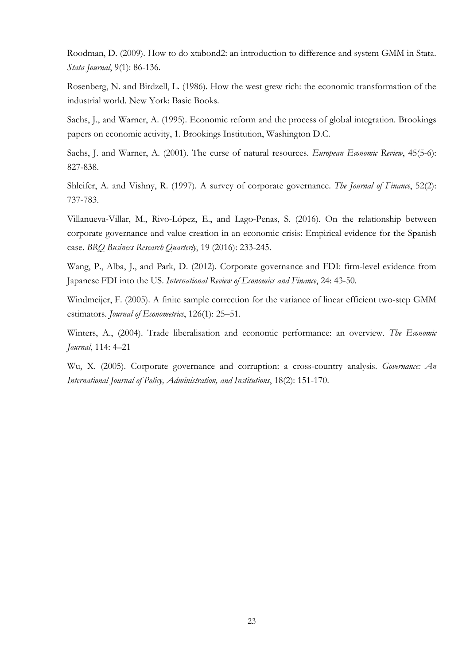Roodman, D. (2009). How to do xtabond2: an introduction to difference and system GMM in Stata. *Stata Journal*, 9(1): 86-136.

Rosenberg, N. and Birdzell, L. (1986). How the west grew rich: the economic transformation of the industrial world. New York: Basic Books.

Sachs, J., and Warner, A. (1995). Economic reform and the process of global integration. Brookings papers on economic activity, 1. Brookings Institution, Washington D.C.

Sachs, J. and Warner, A. (2001). The curse of natural resources. *European Economic Review*, 45(5-6): 827-838.

Shleifer, A. and Vishny, R. (1997). A survey of corporate governance. *The Journal of Finance*, 52(2): 737-783.

Villanueva-Villar, M., Rivo-López, E., and Lago-Penas, S. (2016). On the relationship between corporate governance and value creation in an economic crisis: Empirical evidence for the Spanish case. *BRQ Business Research Quarterly*, 19 (2016): 233-245.

Wang, P., Alba, J., and Park, D. (2012). Corporate governance and FDI: firm-level evidence from Japanese FDI into the US. *International Review of Economics and Finance*, 24: 43-50.

Windmeijer, F. (2005). A finite sample correction for the variance of linear efficient two-step GMM estimators. *Journal of Econometrics*, 126(1): 25–51.

Winters, A., (2004). Trade liberalisation and economic performance: an overview. *The Economic Journal*, 114: 4–21

Wu, X. (2005). Corporate governance and corruption: a cross-country analysis. *Governance: An International Journal of Policy, Administration, and Institutions*, 18(2): 151-170.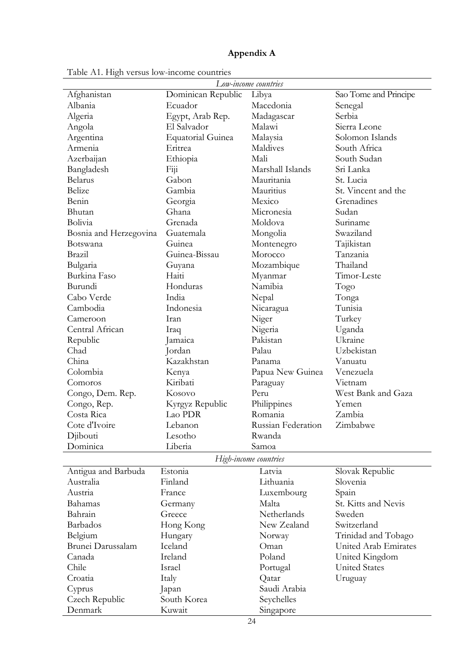# **Appendix A**

| Afghanistan<br>Dominican Republic<br>Libya<br>Sao Tome and Principe<br>Albania<br>Ecuador<br>Macedonia<br>Senegal<br>Algeria<br>Egypt, Arab Rep.<br>Madagascar<br>Serbia<br>Sierra Leone<br>El Salvador<br>Malawi<br>Angola<br><b>Equatorial Guinea</b><br>Solomon Islands<br>Malaysia<br>Argentina<br>Armenia<br>Maldives<br>South Africa<br>Eritrea<br>South Sudan<br>Azerbaijan<br>Ethiopia<br>Mali<br>Sri Lanka<br>Bangladesh<br>Fiji<br>Marshall Islands<br>Mauritania<br><b>Belarus</b><br>Gabon<br>St. Lucia<br>Mauritius<br>Belize<br>Gambia<br>St. Vincent and the<br>Grenadines<br>Benin<br>Georgia<br>Mexico<br>Bhutan<br>Ghana<br>Micronesia<br>Sudan<br>Bolivia<br>Grenada<br>Moldova<br>Suriname<br>Swaziland<br>Guatemala<br>Bosnia and Herzegovina<br>Mongolia<br>Guinea<br>Tajikistan<br>Botswana<br>Montenegro<br>Guinea-Bissau<br>Morocco<br>Tanzania<br>Brazil<br>Thailand<br>Bulgaria<br>Mozambique<br>Guyana<br>Burkina Faso<br>Haiti<br>Myanmar<br>Timor-Leste<br>Namibia<br>Burundi<br>Honduras<br>Togo<br>Cabo Verde<br>India<br>Nepal<br>Tonga<br>Cambodia<br>Indonesia<br>Tunisia<br>Nicaragua<br>Niger<br>Cameroon<br>Turkey<br>Iran<br>Central African<br>Nigeria<br>Uganda<br>Iraq<br>Pakistan<br>Ukraine<br>Republic<br>Jamaica<br>Uzbekistan<br>Chad<br>Jordan<br>Palau<br>China<br>Kazakhstan<br>Panama<br>Vanuatu<br>Colombia<br>Papua New Guinea<br>Venezuela<br>Kenya<br>Kiribati<br>Vietnam<br>Comoros<br>Paraguay<br>West Bank and Gaza<br>Congo, Dem. Rep.<br>Kosovo<br>Peru<br>Congo, Rep.<br>Kyrgyz Republic<br>Philippines<br>Yemen<br>Costa Rica<br>Romania<br>Lao PDR<br>Zambia<br>Cote d'Ivoire<br>Russian Federation<br>Zimbabwe<br>Lebanon<br>Djibouti<br>Lesotho<br>Rwanda<br>Liberia<br>Dominica<br>Samoa<br>High-income countries<br>Estonia<br>Antigua and Barbuda<br>Latvia<br>Slovak Republic<br>Australia<br>Finland<br>Lithuania<br>Slovenia<br>Austria<br>France<br>Spain<br>Luxembourg<br>Malta<br>St. Kitts and Nevis<br>Bahamas<br>Germany<br>Bahrain<br>Netherlands<br>Sweden<br>Greece<br>Barbados<br>New Zealand<br>Switzerland<br>Hong Kong<br>Belgium<br>Trinidad and Tobago<br>Hungary<br>Norway | Low-income countries |  |  |  |  |  |  |
|-------------------------------------------------------------------------------------------------------------------------------------------------------------------------------------------------------------------------------------------------------------------------------------------------------------------------------------------------------------------------------------------------------------------------------------------------------------------------------------------------------------------------------------------------------------------------------------------------------------------------------------------------------------------------------------------------------------------------------------------------------------------------------------------------------------------------------------------------------------------------------------------------------------------------------------------------------------------------------------------------------------------------------------------------------------------------------------------------------------------------------------------------------------------------------------------------------------------------------------------------------------------------------------------------------------------------------------------------------------------------------------------------------------------------------------------------------------------------------------------------------------------------------------------------------------------------------------------------------------------------------------------------------------------------------------------------------------------------------------------------------------------------------------------------------------------------------------------------------------------------------------------------------------------------------------------------------------------------------------------------------------------------------------------------------------------------------------------------------------------------------------------------------------------|----------------------|--|--|--|--|--|--|
|                                                                                                                                                                                                                                                                                                                                                                                                                                                                                                                                                                                                                                                                                                                                                                                                                                                                                                                                                                                                                                                                                                                                                                                                                                                                                                                                                                                                                                                                                                                                                                                                                                                                                                                                                                                                                                                                                                                                                                                                                                                                                                                                                                   |                      |  |  |  |  |  |  |
|                                                                                                                                                                                                                                                                                                                                                                                                                                                                                                                                                                                                                                                                                                                                                                                                                                                                                                                                                                                                                                                                                                                                                                                                                                                                                                                                                                                                                                                                                                                                                                                                                                                                                                                                                                                                                                                                                                                                                                                                                                                                                                                                                                   |                      |  |  |  |  |  |  |
|                                                                                                                                                                                                                                                                                                                                                                                                                                                                                                                                                                                                                                                                                                                                                                                                                                                                                                                                                                                                                                                                                                                                                                                                                                                                                                                                                                                                                                                                                                                                                                                                                                                                                                                                                                                                                                                                                                                                                                                                                                                                                                                                                                   |                      |  |  |  |  |  |  |
|                                                                                                                                                                                                                                                                                                                                                                                                                                                                                                                                                                                                                                                                                                                                                                                                                                                                                                                                                                                                                                                                                                                                                                                                                                                                                                                                                                                                                                                                                                                                                                                                                                                                                                                                                                                                                                                                                                                                                                                                                                                                                                                                                                   |                      |  |  |  |  |  |  |
|                                                                                                                                                                                                                                                                                                                                                                                                                                                                                                                                                                                                                                                                                                                                                                                                                                                                                                                                                                                                                                                                                                                                                                                                                                                                                                                                                                                                                                                                                                                                                                                                                                                                                                                                                                                                                                                                                                                                                                                                                                                                                                                                                                   |                      |  |  |  |  |  |  |
|                                                                                                                                                                                                                                                                                                                                                                                                                                                                                                                                                                                                                                                                                                                                                                                                                                                                                                                                                                                                                                                                                                                                                                                                                                                                                                                                                                                                                                                                                                                                                                                                                                                                                                                                                                                                                                                                                                                                                                                                                                                                                                                                                                   |                      |  |  |  |  |  |  |
|                                                                                                                                                                                                                                                                                                                                                                                                                                                                                                                                                                                                                                                                                                                                                                                                                                                                                                                                                                                                                                                                                                                                                                                                                                                                                                                                                                                                                                                                                                                                                                                                                                                                                                                                                                                                                                                                                                                                                                                                                                                                                                                                                                   |                      |  |  |  |  |  |  |
|                                                                                                                                                                                                                                                                                                                                                                                                                                                                                                                                                                                                                                                                                                                                                                                                                                                                                                                                                                                                                                                                                                                                                                                                                                                                                                                                                                                                                                                                                                                                                                                                                                                                                                                                                                                                                                                                                                                                                                                                                                                                                                                                                                   |                      |  |  |  |  |  |  |
|                                                                                                                                                                                                                                                                                                                                                                                                                                                                                                                                                                                                                                                                                                                                                                                                                                                                                                                                                                                                                                                                                                                                                                                                                                                                                                                                                                                                                                                                                                                                                                                                                                                                                                                                                                                                                                                                                                                                                                                                                                                                                                                                                                   |                      |  |  |  |  |  |  |
|                                                                                                                                                                                                                                                                                                                                                                                                                                                                                                                                                                                                                                                                                                                                                                                                                                                                                                                                                                                                                                                                                                                                                                                                                                                                                                                                                                                                                                                                                                                                                                                                                                                                                                                                                                                                                                                                                                                                                                                                                                                                                                                                                                   |                      |  |  |  |  |  |  |
|                                                                                                                                                                                                                                                                                                                                                                                                                                                                                                                                                                                                                                                                                                                                                                                                                                                                                                                                                                                                                                                                                                                                                                                                                                                                                                                                                                                                                                                                                                                                                                                                                                                                                                                                                                                                                                                                                                                                                                                                                                                                                                                                                                   |                      |  |  |  |  |  |  |
|                                                                                                                                                                                                                                                                                                                                                                                                                                                                                                                                                                                                                                                                                                                                                                                                                                                                                                                                                                                                                                                                                                                                                                                                                                                                                                                                                                                                                                                                                                                                                                                                                                                                                                                                                                                                                                                                                                                                                                                                                                                                                                                                                                   |                      |  |  |  |  |  |  |
|                                                                                                                                                                                                                                                                                                                                                                                                                                                                                                                                                                                                                                                                                                                                                                                                                                                                                                                                                                                                                                                                                                                                                                                                                                                                                                                                                                                                                                                                                                                                                                                                                                                                                                                                                                                                                                                                                                                                                                                                                                                                                                                                                                   |                      |  |  |  |  |  |  |
|                                                                                                                                                                                                                                                                                                                                                                                                                                                                                                                                                                                                                                                                                                                                                                                                                                                                                                                                                                                                                                                                                                                                                                                                                                                                                                                                                                                                                                                                                                                                                                                                                                                                                                                                                                                                                                                                                                                                                                                                                                                                                                                                                                   |                      |  |  |  |  |  |  |
|                                                                                                                                                                                                                                                                                                                                                                                                                                                                                                                                                                                                                                                                                                                                                                                                                                                                                                                                                                                                                                                                                                                                                                                                                                                                                                                                                                                                                                                                                                                                                                                                                                                                                                                                                                                                                                                                                                                                                                                                                                                                                                                                                                   |                      |  |  |  |  |  |  |
|                                                                                                                                                                                                                                                                                                                                                                                                                                                                                                                                                                                                                                                                                                                                                                                                                                                                                                                                                                                                                                                                                                                                                                                                                                                                                                                                                                                                                                                                                                                                                                                                                                                                                                                                                                                                                                                                                                                                                                                                                                                                                                                                                                   |                      |  |  |  |  |  |  |
|                                                                                                                                                                                                                                                                                                                                                                                                                                                                                                                                                                                                                                                                                                                                                                                                                                                                                                                                                                                                                                                                                                                                                                                                                                                                                                                                                                                                                                                                                                                                                                                                                                                                                                                                                                                                                                                                                                                                                                                                                                                                                                                                                                   |                      |  |  |  |  |  |  |
|                                                                                                                                                                                                                                                                                                                                                                                                                                                                                                                                                                                                                                                                                                                                                                                                                                                                                                                                                                                                                                                                                                                                                                                                                                                                                                                                                                                                                                                                                                                                                                                                                                                                                                                                                                                                                                                                                                                                                                                                                                                                                                                                                                   |                      |  |  |  |  |  |  |
|                                                                                                                                                                                                                                                                                                                                                                                                                                                                                                                                                                                                                                                                                                                                                                                                                                                                                                                                                                                                                                                                                                                                                                                                                                                                                                                                                                                                                                                                                                                                                                                                                                                                                                                                                                                                                                                                                                                                                                                                                                                                                                                                                                   |                      |  |  |  |  |  |  |
|                                                                                                                                                                                                                                                                                                                                                                                                                                                                                                                                                                                                                                                                                                                                                                                                                                                                                                                                                                                                                                                                                                                                                                                                                                                                                                                                                                                                                                                                                                                                                                                                                                                                                                                                                                                                                                                                                                                                                                                                                                                                                                                                                                   |                      |  |  |  |  |  |  |
|                                                                                                                                                                                                                                                                                                                                                                                                                                                                                                                                                                                                                                                                                                                                                                                                                                                                                                                                                                                                                                                                                                                                                                                                                                                                                                                                                                                                                                                                                                                                                                                                                                                                                                                                                                                                                                                                                                                                                                                                                                                                                                                                                                   |                      |  |  |  |  |  |  |
|                                                                                                                                                                                                                                                                                                                                                                                                                                                                                                                                                                                                                                                                                                                                                                                                                                                                                                                                                                                                                                                                                                                                                                                                                                                                                                                                                                                                                                                                                                                                                                                                                                                                                                                                                                                                                                                                                                                                                                                                                                                                                                                                                                   |                      |  |  |  |  |  |  |
|                                                                                                                                                                                                                                                                                                                                                                                                                                                                                                                                                                                                                                                                                                                                                                                                                                                                                                                                                                                                                                                                                                                                                                                                                                                                                                                                                                                                                                                                                                                                                                                                                                                                                                                                                                                                                                                                                                                                                                                                                                                                                                                                                                   |                      |  |  |  |  |  |  |
|                                                                                                                                                                                                                                                                                                                                                                                                                                                                                                                                                                                                                                                                                                                                                                                                                                                                                                                                                                                                                                                                                                                                                                                                                                                                                                                                                                                                                                                                                                                                                                                                                                                                                                                                                                                                                                                                                                                                                                                                                                                                                                                                                                   |                      |  |  |  |  |  |  |
|                                                                                                                                                                                                                                                                                                                                                                                                                                                                                                                                                                                                                                                                                                                                                                                                                                                                                                                                                                                                                                                                                                                                                                                                                                                                                                                                                                                                                                                                                                                                                                                                                                                                                                                                                                                                                                                                                                                                                                                                                                                                                                                                                                   |                      |  |  |  |  |  |  |
|                                                                                                                                                                                                                                                                                                                                                                                                                                                                                                                                                                                                                                                                                                                                                                                                                                                                                                                                                                                                                                                                                                                                                                                                                                                                                                                                                                                                                                                                                                                                                                                                                                                                                                                                                                                                                                                                                                                                                                                                                                                                                                                                                                   |                      |  |  |  |  |  |  |
|                                                                                                                                                                                                                                                                                                                                                                                                                                                                                                                                                                                                                                                                                                                                                                                                                                                                                                                                                                                                                                                                                                                                                                                                                                                                                                                                                                                                                                                                                                                                                                                                                                                                                                                                                                                                                                                                                                                                                                                                                                                                                                                                                                   |                      |  |  |  |  |  |  |
|                                                                                                                                                                                                                                                                                                                                                                                                                                                                                                                                                                                                                                                                                                                                                                                                                                                                                                                                                                                                                                                                                                                                                                                                                                                                                                                                                                                                                                                                                                                                                                                                                                                                                                                                                                                                                                                                                                                                                                                                                                                                                                                                                                   |                      |  |  |  |  |  |  |
|                                                                                                                                                                                                                                                                                                                                                                                                                                                                                                                                                                                                                                                                                                                                                                                                                                                                                                                                                                                                                                                                                                                                                                                                                                                                                                                                                                                                                                                                                                                                                                                                                                                                                                                                                                                                                                                                                                                                                                                                                                                                                                                                                                   |                      |  |  |  |  |  |  |
|                                                                                                                                                                                                                                                                                                                                                                                                                                                                                                                                                                                                                                                                                                                                                                                                                                                                                                                                                                                                                                                                                                                                                                                                                                                                                                                                                                                                                                                                                                                                                                                                                                                                                                                                                                                                                                                                                                                                                                                                                                                                                                                                                                   |                      |  |  |  |  |  |  |
|                                                                                                                                                                                                                                                                                                                                                                                                                                                                                                                                                                                                                                                                                                                                                                                                                                                                                                                                                                                                                                                                                                                                                                                                                                                                                                                                                                                                                                                                                                                                                                                                                                                                                                                                                                                                                                                                                                                                                                                                                                                                                                                                                                   |                      |  |  |  |  |  |  |
|                                                                                                                                                                                                                                                                                                                                                                                                                                                                                                                                                                                                                                                                                                                                                                                                                                                                                                                                                                                                                                                                                                                                                                                                                                                                                                                                                                                                                                                                                                                                                                                                                                                                                                                                                                                                                                                                                                                                                                                                                                                                                                                                                                   |                      |  |  |  |  |  |  |
|                                                                                                                                                                                                                                                                                                                                                                                                                                                                                                                                                                                                                                                                                                                                                                                                                                                                                                                                                                                                                                                                                                                                                                                                                                                                                                                                                                                                                                                                                                                                                                                                                                                                                                                                                                                                                                                                                                                                                                                                                                                                                                                                                                   |                      |  |  |  |  |  |  |
|                                                                                                                                                                                                                                                                                                                                                                                                                                                                                                                                                                                                                                                                                                                                                                                                                                                                                                                                                                                                                                                                                                                                                                                                                                                                                                                                                                                                                                                                                                                                                                                                                                                                                                                                                                                                                                                                                                                                                                                                                                                                                                                                                                   |                      |  |  |  |  |  |  |
|                                                                                                                                                                                                                                                                                                                                                                                                                                                                                                                                                                                                                                                                                                                                                                                                                                                                                                                                                                                                                                                                                                                                                                                                                                                                                                                                                                                                                                                                                                                                                                                                                                                                                                                                                                                                                                                                                                                                                                                                                                                                                                                                                                   |                      |  |  |  |  |  |  |
|                                                                                                                                                                                                                                                                                                                                                                                                                                                                                                                                                                                                                                                                                                                                                                                                                                                                                                                                                                                                                                                                                                                                                                                                                                                                                                                                                                                                                                                                                                                                                                                                                                                                                                                                                                                                                                                                                                                                                                                                                                                                                                                                                                   |                      |  |  |  |  |  |  |
|                                                                                                                                                                                                                                                                                                                                                                                                                                                                                                                                                                                                                                                                                                                                                                                                                                                                                                                                                                                                                                                                                                                                                                                                                                                                                                                                                                                                                                                                                                                                                                                                                                                                                                                                                                                                                                                                                                                                                                                                                                                                                                                                                                   |                      |  |  |  |  |  |  |
|                                                                                                                                                                                                                                                                                                                                                                                                                                                                                                                                                                                                                                                                                                                                                                                                                                                                                                                                                                                                                                                                                                                                                                                                                                                                                                                                                                                                                                                                                                                                                                                                                                                                                                                                                                                                                                                                                                                                                                                                                                                                                                                                                                   |                      |  |  |  |  |  |  |
|                                                                                                                                                                                                                                                                                                                                                                                                                                                                                                                                                                                                                                                                                                                                                                                                                                                                                                                                                                                                                                                                                                                                                                                                                                                                                                                                                                                                                                                                                                                                                                                                                                                                                                                                                                                                                                                                                                                                                                                                                                                                                                                                                                   |                      |  |  |  |  |  |  |
|                                                                                                                                                                                                                                                                                                                                                                                                                                                                                                                                                                                                                                                                                                                                                                                                                                                                                                                                                                                                                                                                                                                                                                                                                                                                                                                                                                                                                                                                                                                                                                                                                                                                                                                                                                                                                                                                                                                                                                                                                                                                                                                                                                   |                      |  |  |  |  |  |  |
|                                                                                                                                                                                                                                                                                                                                                                                                                                                                                                                                                                                                                                                                                                                                                                                                                                                                                                                                                                                                                                                                                                                                                                                                                                                                                                                                                                                                                                                                                                                                                                                                                                                                                                                                                                                                                                                                                                                                                                                                                                                                                                                                                                   |                      |  |  |  |  |  |  |
|                                                                                                                                                                                                                                                                                                                                                                                                                                                                                                                                                                                                                                                                                                                                                                                                                                                                                                                                                                                                                                                                                                                                                                                                                                                                                                                                                                                                                                                                                                                                                                                                                                                                                                                                                                                                                                                                                                                                                                                                                                                                                                                                                                   |                      |  |  |  |  |  |  |
| Brunei Darussalam<br>Iceland<br>United Arab Emirates<br>Oman                                                                                                                                                                                                                                                                                                                                                                                                                                                                                                                                                                                                                                                                                                                                                                                                                                                                                                                                                                                                                                                                                                                                                                                                                                                                                                                                                                                                                                                                                                                                                                                                                                                                                                                                                                                                                                                                                                                                                                                                                                                                                                      |                      |  |  |  |  |  |  |
| Ireland<br>Poland<br>Canada<br>United Kingdom                                                                                                                                                                                                                                                                                                                                                                                                                                                                                                                                                                                                                                                                                                                                                                                                                                                                                                                                                                                                                                                                                                                                                                                                                                                                                                                                                                                                                                                                                                                                                                                                                                                                                                                                                                                                                                                                                                                                                                                                                                                                                                                     |                      |  |  |  |  |  |  |
| Chile<br><b>United States</b><br>Israel<br>Portugal                                                                                                                                                                                                                                                                                                                                                                                                                                                                                                                                                                                                                                                                                                                                                                                                                                                                                                                                                                                                                                                                                                                                                                                                                                                                                                                                                                                                                                                                                                                                                                                                                                                                                                                                                                                                                                                                                                                                                                                                                                                                                                               |                      |  |  |  |  |  |  |
| Croatia<br>Qatar<br>Italy<br>Uruguay                                                                                                                                                                                                                                                                                                                                                                                                                                                                                                                                                                                                                                                                                                                                                                                                                                                                                                                                                                                                                                                                                                                                                                                                                                                                                                                                                                                                                                                                                                                                                                                                                                                                                                                                                                                                                                                                                                                                                                                                                                                                                                                              |                      |  |  |  |  |  |  |
| Saudi Arabia<br>Cyprus<br>Japan                                                                                                                                                                                                                                                                                                                                                                                                                                                                                                                                                                                                                                                                                                                                                                                                                                                                                                                                                                                                                                                                                                                                                                                                                                                                                                                                                                                                                                                                                                                                                                                                                                                                                                                                                                                                                                                                                                                                                                                                                                                                                                                                   |                      |  |  |  |  |  |  |
| South Korea<br>Seychelles<br>Czech Republic                                                                                                                                                                                                                                                                                                                                                                                                                                                                                                                                                                                                                                                                                                                                                                                                                                                                                                                                                                                                                                                                                                                                                                                                                                                                                                                                                                                                                                                                                                                                                                                                                                                                                                                                                                                                                                                                                                                                                                                                                                                                                                                       |                      |  |  |  |  |  |  |
| Denmark<br>Kuwait<br>Singapore                                                                                                                                                                                                                                                                                                                                                                                                                                                                                                                                                                                                                                                                                                                                                                                                                                                                                                                                                                                                                                                                                                                                                                                                                                                                                                                                                                                                                                                                                                                                                                                                                                                                                                                                                                                                                                                                                                                                                                                                                                                                                                                                    |                      |  |  |  |  |  |  |

Table A1. High versus low-income countries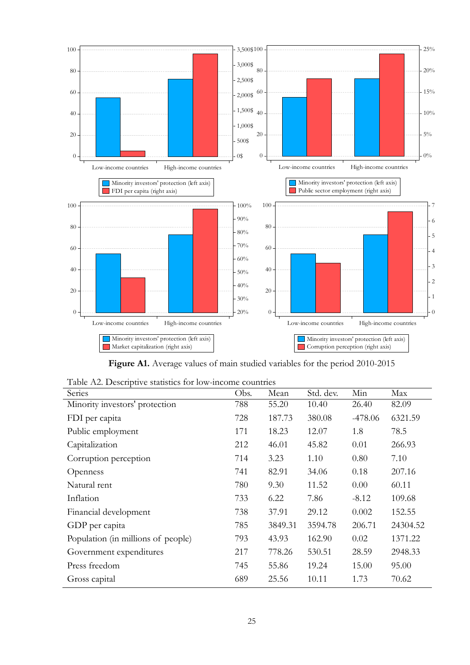

**Figure A1.** Average values of main studied variables for the period 2010-2015

| Series                             | Obs. | Mean    | Std. dev. | Min       | Max      |
|------------------------------------|------|---------|-----------|-----------|----------|
| Minority investors' protection     | 788  | 55.20   | 10.40     | 26.40     | 82.09    |
| FDI per capita                     | 728  | 187.73  | 380.08    | $-478.06$ | 6321.59  |
| Public employment                  | 171  | 18.23   | 12.07     | 1.8       | 78.5     |
| Capitalization                     | 212  | 46.01   | 45.82     | 0.01      | 266.93   |
| Corruption perception              | 714  | 3.23    | 1.10      | 0.80      | 7.10     |
| Openness                           | 741  | 82.91   | 34.06     | 0.18      | 207.16   |
| Natural rent                       | 780  | 9.30    | 11.52     | 0.00      | 60.11    |
| Inflation                          | 733  | 6.22    | 7.86      | $-8.12$   | 109.68   |
| Financial development              | 738  | 37.91   | 29.12     | 0.002     | 152.55   |
| GDP per capita                     | 785  | 3849.31 | 3594.78   | 206.71    | 24304.52 |
| Population (in millions of people) | 793  | 43.93   | 162.90    | 0.02      | 1371.22  |
| Government expenditures            | 217  | 778.26  | 530.51    | 28.59     | 2948.33  |
| Press freedom                      | 745  | 55.86   | 19.24     | 15.00     | 95.00    |
| Gross capital                      | 689  | 25.56   | 10.11     | 1.73      | 70.62    |